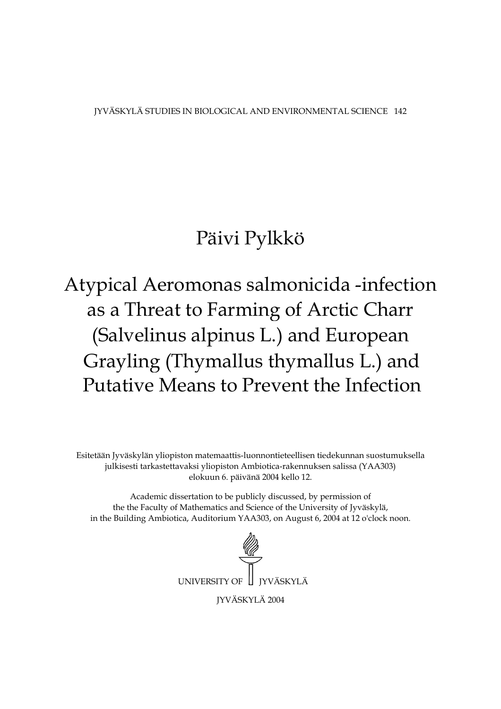JYVÄSKYLÄ STUDIES IN BIOLOGICAL AND ENVIRONMENTAL SCIENCE 142

# Päivi Pylkkö

# Atypical Aeromonas salmonicida -infection as a Threat to Farming of Arctic Charr (Salvelinus alpinus L.) and European Grayling (Thymallus thymallus L.) and Putative Means to Prevent the Infection

Esitetään Jyväskylän yliopiston matemaattis-luonnontieteellisen tiedekunnan suostumuksella julkisesti tarkastettavaksi yliopiston Ambiotica-rakennuksen salissa (YAA303) elokuun 6. päivänä 2004 kello 12.

Academic dissertation to be publicly discussed, by permission of the the Faculty of Mathematics and Science of the University of Jyväskylä, in the Building Ambiotica, Auditorium YAA303, on August 6, 2004 at 12 o'clock noon.

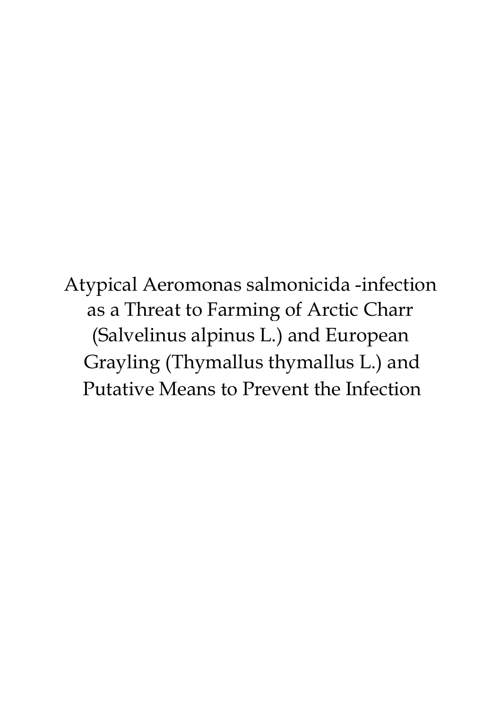Atypical Aeromonas salmonicida -infection as a Threat to Farming of Arctic Charr (Salvelinus alpinus L.) and European Grayling (Thymallus thymallus L.) and Putative Means to Prevent the Infection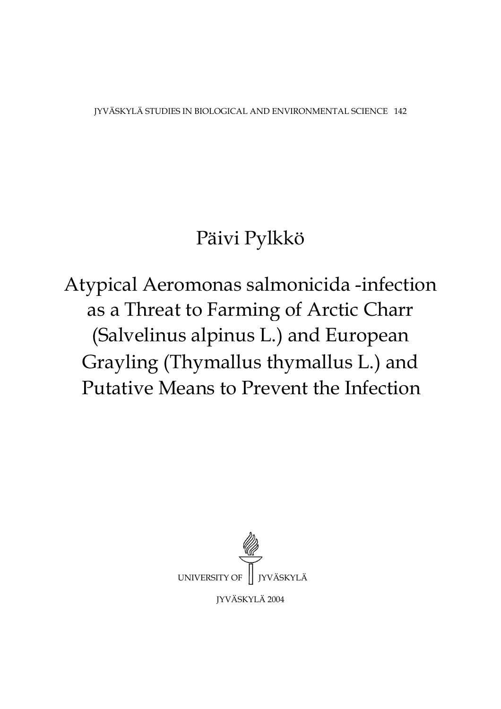IYVÄSKYLÄ STUDIES IN BIOLOGICAL AND ENVIRONMENTAL SCIENCE 142

# Päivi Pylkkö

Atypical Aeromonas salmonicida -infection as a Threat to Farming of Arctic Charr (Salvelinus alpinus L.) and European Grayling (Thymallus thymallus L.) and Putative Means to Prevent the Infection

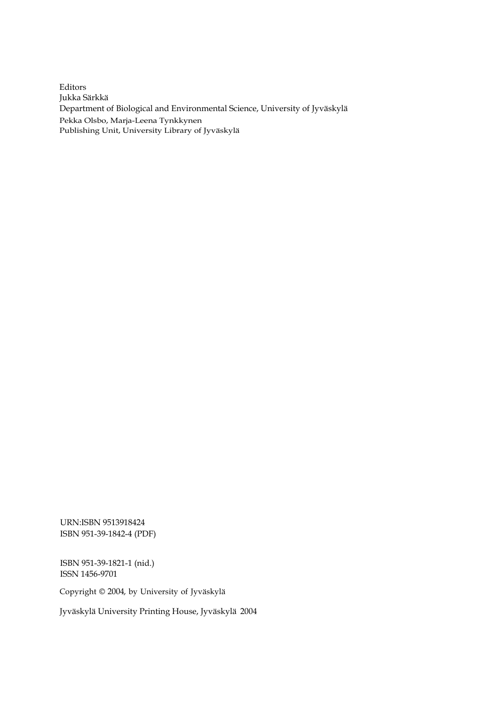Editors Jukka Särkkä Department of Biological and Environmental Science, University of Jyväskylä Pekka Olsbo, Marja-Leena Tynkkynen Publishing Unit, University Library of Jyväskylä

URN:ISBN 9513918424 ISBN 951-39-1842-4 (PDF)

ISBN 951-39-1821-1 (nid.) ISSN 1456-9701

Copyright © 2004, by University of Jyväskylä

Jyväskylä University Printing House, Jyväskylä 2004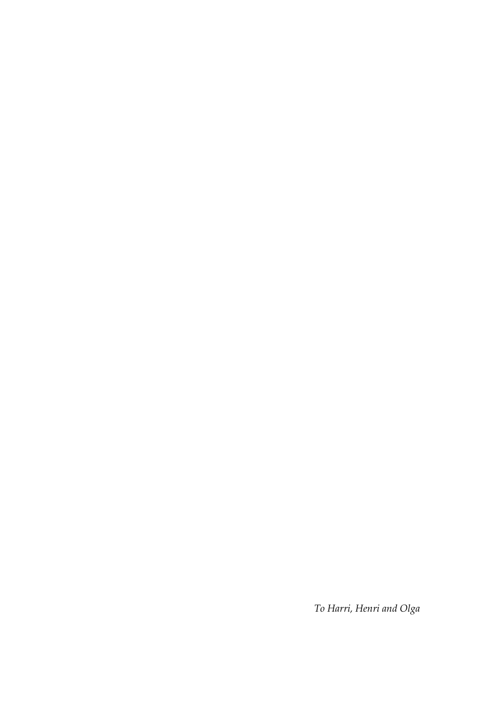*To Harri, Henri and Olga*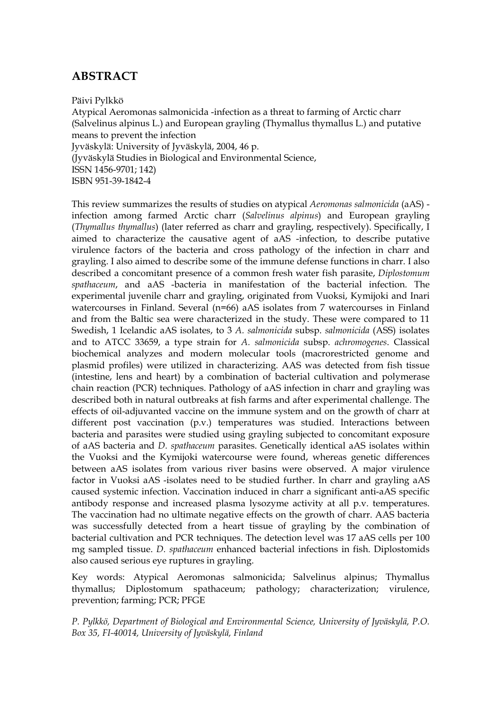## **ABSTRACT**

Päivi Pylkkö

Atypical Aeromonas salmonicida -infection as a threat to farming of Arctic charr (Salvelinus alpinus L.) and European grayling (Thymallus thymallus L.) and putative means to prevent the infection Jyväskylä: University of Jyväskylä, 2004, 46 p. (Jyväskylä Studies in Biological and Environmental Science, ISSN 1456-9701; 142) ISBN 951-39-1842-4

This review summarizes the results of studies on atypical *Aeromonas salmonicida* (aAS) infection among farmed Arctic charr (*Salvelinus alpinus*) and European grayling (*Thymallus thymallus*) (later referred as charr and grayling, respectively). Specifically, I aimed to characterize the causative agent of aAS -infection, to describe putative virulence factors of the bacteria and cross pathology of the infection in charr and grayling. I also aimed to describe some of the immune defense functions in charr. I also described a concomitant presence of a common fresh water fish parasite, *Diplostomum spathaceum*, and aAS -bacteria in manifestation of the bacterial infection. The experimental juvenile charr and grayling, originated from Vuoksi, Kymijoki and Inari watercourses in Finland. Several (n=66) aAS isolates from 7 watercourses in Finland and from the Baltic sea were characterized in the study. These were compared to 11 Swedish, 1 Icelandic aAS isolates, to 3 *A. salmonicida* subsp. *salmonicida* (ASS) isolates and to ATCC 33659, a type strain for *A. salmonicida* subsp. *achromogenes*. Classical biochemical analyzes and modern molecular tools (macrorestricted genome and plasmid profiles) were utilized in characterizing. AAS was detected from fish tissue (intestine, lens and heart) by a combination of bacterial cultivation and polymerase chain reaction (PCR) techniques. Pathology of aAS infection in charr and grayling was described both in natural outbreaks at fish farms and after experimental challenge. The effects of oil-adjuvanted vaccine on the immune system and on the growth of charr at different post vaccination (p.v.) temperatures was studied. Interactions between bacteria and parasites were studied using grayling subjected to concomitant exposure of aAS bacteria and *D. spathaceum* parasites. Genetically identical aAS isolates within the Vuoksi and the Kymijoki watercourse were found, whereas genetic differences between aAS isolates from various river basins were observed. A major virulence factor in Vuoksi aAS -isolates need to be studied further. In charr and grayling aAS caused systemic infection. Vaccination induced in charr a significant anti-aAS specific antibody response and increased plasma lysozyme activity at all p.v. temperatures. The vaccination had no ultimate negative effects on the growth of charr. AAS bacteria was successfully detected from a heart tissue of grayling by the combination of bacterial cultivation and PCR techniques. The detection level was 17 aAS cells per 100 mg sampled tissue. *D. spathaceum* enhanced bacterial infections in fish. Diplostomids also caused serious eye ruptures in grayling.

Key words: Atypical Aeromonas salmonicida; Salvelinus alpinus; Thymallus thymallus; Diplostomum spathaceum; pathology; characterization; virulence, prevention; farming; PCR; PFGE

*P. Pylkkö, Department of Biological and Environmental Science, University of Jyväskylä, P.O. Box 35, FI-40014, University of Jyväskylä, Finland*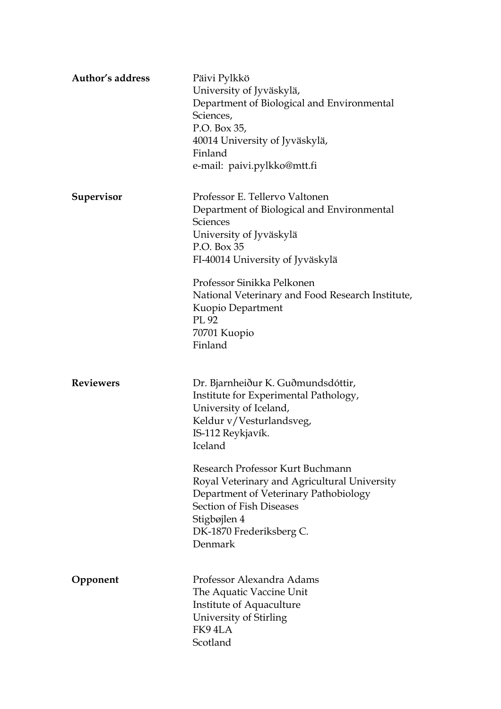| Author's address | Päivi Pylkkö<br>University of Jyväskylä,<br>Department of Biological and Environmental<br>Sciences,<br>P.O. Box 35,<br>40014 University of Jyväskylä,<br>Finland<br>e-mail: paivi.pylkko@mtt.fi                                                                                                                                                                                   |
|------------------|-----------------------------------------------------------------------------------------------------------------------------------------------------------------------------------------------------------------------------------------------------------------------------------------------------------------------------------------------------------------------------------|
| Supervisor       | Professor E. Tellervo Valtonen<br>Department of Biological and Environmental<br><b>Sciences</b><br>University of Jyväskylä<br>P.O. Box 35<br>FI-40014 University of Jyväskylä<br>Professor Sinikka Pelkonen<br>National Veterinary and Food Research Institute,<br>Kuopio Department<br>PL 92<br>70701 Kuopio<br>Finland                                                          |
| <b>Reviewers</b> | Dr. Bjarnheiður K. Guðmundsdóttir,<br>Institute for Experimental Pathology,<br>University of Iceland,<br>Keldur v/Vesturlandsveg,<br>IS-112 Reykjavík.<br>Iceland<br>Research Professor Kurt Buchmann<br>Royal Veterinary and Agricultural University<br>Department of Veterinary Pathobiology<br>Section of Fish Diseases<br>Stigbøjlen 4<br>DK-1870 Frederiksberg C.<br>Denmark |
| Opponent         | Professor Alexandra Adams<br>The Aquatic Vaccine Unit<br><b>Institute of Aquaculture</b><br>University of Stirling<br>FK94LA<br>Scotland                                                                                                                                                                                                                                          |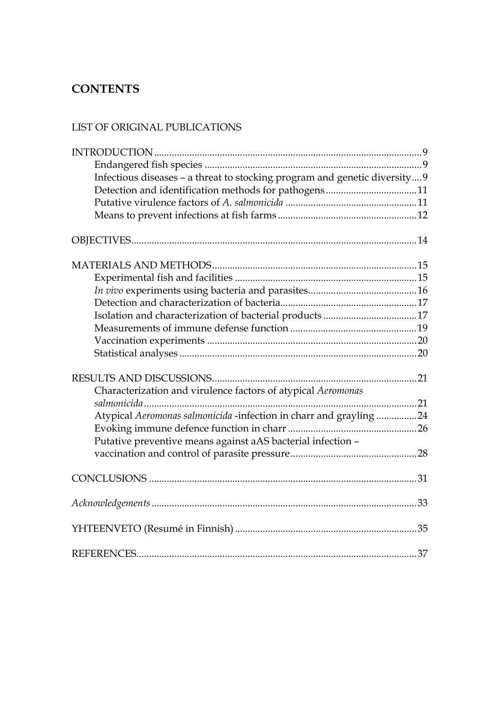# **CONTENTS**

## LIST OF ORIGINAL PUBLICATIONS

| Infectious diseases - a threat to stocking program and genetic diversity 9 |  |
|----------------------------------------------------------------------------|--|
| Detection and identification methods for pathogens11                       |  |
|                                                                            |  |
|                                                                            |  |
|                                                                            |  |
|                                                                            |  |
|                                                                            |  |
|                                                                            |  |
|                                                                            |  |
|                                                                            |  |
|                                                                            |  |
|                                                                            |  |
|                                                                            |  |
|                                                                            |  |
|                                                                            |  |
|                                                                            |  |
|                                                                            |  |
| Characterization and virulence factors of atypical Aeromonas               |  |
|                                                                            |  |
| Atypical Aeromonas salmonicida -infection in charr and grayling 24         |  |
|                                                                            |  |
| Putative preventive means against aAS bacterial infection -                |  |
|                                                                            |  |
|                                                                            |  |
|                                                                            |  |
|                                                                            |  |
|                                                                            |  |
|                                                                            |  |
|                                                                            |  |
|                                                                            |  |
|                                                                            |  |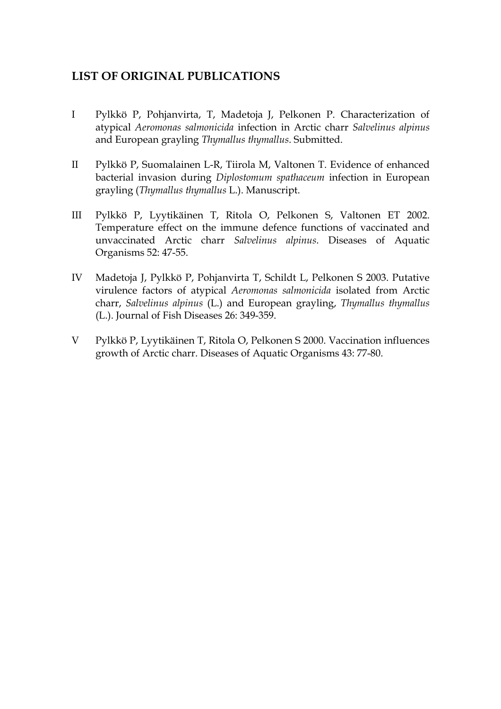## **LIST OF ORIGINAL PUBLICATIONS**

- I Pylkkö P, Pohjanvirta, T, Madetoja J, Pelkonen P. Characterization of atypical *Aeromonas salmonicida* infection in Arctic charr *Salvelinus alpinus* and European grayling *Thymallus thymallus*. Submitted.
- II Pylkkö P, Suomalainen L-R, Tiirola M, Valtonen T. Evidence of enhanced bacterial invasion during *Diplostomum spathaceum* infection in European grayling (*Thymallus thymallus* L.). Manuscript.
- III Pylkkö P, Lyytikäinen T, Ritola O, Pelkonen S, Valtonen ET 2002. Temperature effect on the immune defence functions of vaccinated and unvaccinated Arctic charr *Salvelinus alpinus*. Diseases of Aquatic Organisms 52: 47-55.
- IV Madetoja J, Pylkkö P, Pohjanvirta T, Schildt L, Pelkonen S 2003. Putative virulence factors of atypical *Aeromonas salmonicida* isolated from Arctic charr, *Salvelinus alpinus* (L.) and European grayling, *Thymallus thymallus*  (L.). Journal of Fish Diseases 26: 349-359.
- V Pylkkö P, Lyytikäinen T, Ritola O, Pelkonen S 2000. Vaccination influences growth of Arctic charr. Diseases of Aquatic Organisms 43: 77-80.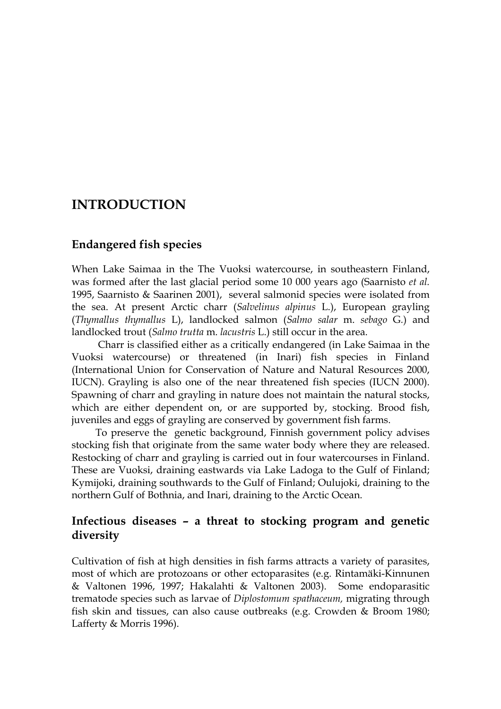# **INTRODUCTION**

### **Endangered fish species**

When Lake Saimaa in the The Vuoksi watercourse, in southeastern Finland, was formed after the last glacial period some 10 000 years ago (Saarnisto *et al.* 1995, Saarnisto & Saarinen 2001), several salmonid species were isolated from the sea. At present Arctic charr (*Salvelinus alpinus* L.), European grayling (*Thymallus thymallus* L), landlocked salmon (*Salmo salar* m. *sebago* G*.*) and landlocked trout (*Salmo trutta* m. *lacustris* L.) still occur in the area.

 Charr is classified either as a critically endangered (in Lake Saimaa in the Vuoksi watercourse) or threatened (in Inari) fish species in Finland (International Union for Conservation of Nature and Natural Resources 2000, IUCN). Grayling is also one of the near threatened fish species (IUCN 2000). Spawning of charr and grayling in nature does not maintain the natural stocks, which are either dependent on, or are supported by, stocking. Brood fish, juveniles and eggs of grayling are conserved by government fish farms.

To preserve the genetic background, Finnish government policy advises stocking fish that originate from the same water body where they are released. Restocking of charr and grayling is carried out in four watercourses in Finland. These are Vuoksi, draining eastwards via Lake Ladoga to the Gulf of Finland; Kymijoki, draining southwards to the Gulf of Finland; Oulujoki, draining to the northern Gulf of Bothnia, and Inari, draining to the Arctic Ocean.

## **Infectious diseases – a threat to stocking program and genetic diversity**

Cultivation of fish at high densities in fish farms attracts a variety of parasites, most of which are protozoans or other ectoparasites (e.g. Rintamäki-Kinnunen & Valtonen 1996, 1997; Hakalahti & Valtonen 2003). Some endoparasitic trematode species such as larvae of *Diplostomum spathaceum,* migrating through fish skin and tissues, can also cause outbreaks (e.g. Crowden & Broom 1980; Lafferty & Morris 1996).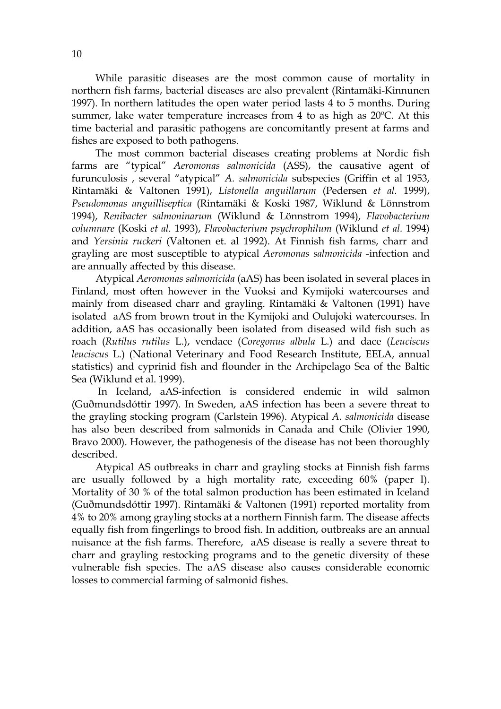While parasitic diseases are the most common cause of mortality in northern fish farms, bacterial diseases are also prevalent (Rintamäki-Kinnunen 1997). In northern latitudes the open water period lasts 4 to 5 months. During summer, lake water temperature increases from 4 to as high as 20ºC. At this time bacterial and parasitic pathogens are concomitantly present at farms and fishes are exposed to both pathogens.

The most common bacterial diseases creating problems at Nordic fish farms are "typical" *Aeromonas salmonicida* (ASS), the causative agent of furunculosis , several "atypical" *A. salmonicida* subspecies (Griffin et al 1953, Rintamäki & Valtonen 1991), *Listonella anguillarum* (Pedersen *et al.* 1999), *Pseudomonas anguilliseptica* (Rintamäki & Koski 1987, Wiklund & Lönnstrom 1994), *Renibacter salmoninarum* (Wiklund & Lönnstrom 1994), *Flavobacterium columnare* (Koski *et al.* 1993), *Flavobacterium psychrophilum* (Wiklund *et al.* 1994) and *Yersinia ruckeri* (Valtonen et. al 1992). At Finnish fish farms, charr and grayling are most susceptible to atypical *Aeromonas salmonicida* -infection and are annually affected by this disease.

Atypical *Aeromonas salmonicida* (aAS) has been isolated in several places in Finland, most often however in the Vuoksi and Kymijoki watercourses and mainly from diseased charr and grayling. Rintamäki & Valtonen (1991) have isolated aAS from brown trout in the Kymijoki and Oulujoki watercourses. In addition, aAS has occasionally been isolated from diseased wild fish such as roach (*Rutilus rutilus* L.), vendace (*Coregonus albula* L.) and dace (*Leuciscus leuciscus* L.) (National Veterinary and Food Research Institute, EELA, annual statistics) and cyprinid fish and flounder in the Archipelago Sea of the Baltic Sea (Wiklund et al. 1999).

 In Iceland, aAS-infection is considered endemic in wild salmon (Guðmundsdóttir 1997). In Sweden, aAS infection has been a severe threat to the grayling stocking program (Carlstein 1996). Atypical *A. salmonicida* disease has also been described from salmonids in Canada and Chile (Olivier 1990, Bravo 2000). However, the pathogenesis of the disease has not been thoroughly described.

Atypical AS outbreaks in charr and grayling stocks at Finnish fish farms are usually followed by a high mortality rate, exceeding 60% (paper I). Mortality of 30 % of the total salmon production has been estimated in Iceland (Guðmundsdóttir 1997). Rintamäki & Valtonen (1991) reported mortality from 4% to 20% among grayling stocks at a northern Finnish farm. The disease affects equally fish from fingerlings to brood fish. In addition, outbreaks are an annual nuisance at the fish farms. Therefore, aAS disease is really a severe threat to charr and grayling restocking programs and to the genetic diversity of these vulnerable fish species. The aAS disease also causes considerable economic losses to commercial farming of salmonid fishes.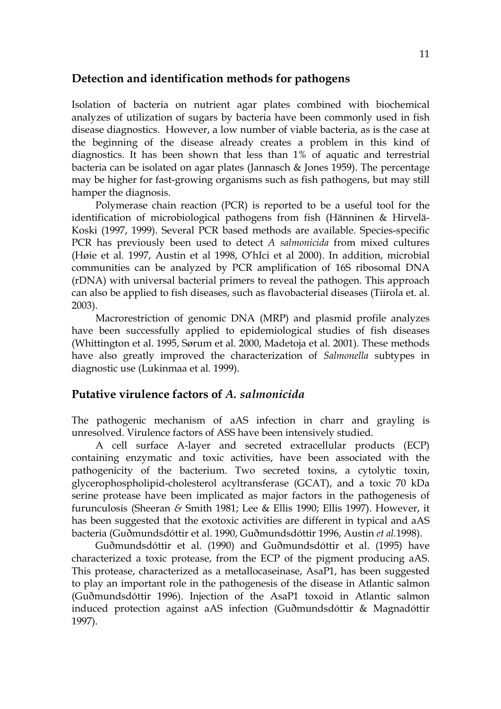#### **Detection and identification methods for pathogens**

Isolation of bacteria on nutrient agar plates combined with biochemical analyzes of utilization of sugars by bacteria have been commonly used in fish disease diagnostics. However, a low number of viable bacteria, as is the case at the beginning of the disease already creates a problem in this kind of diagnostics. It has been shown that less than 1% of aquatic and terrestrial bacteria can be isolated on agar plates (Jannasch & Jones 1959). The percentage may be higher for fast-growing organisms such as fish pathogens, but may still hamper the diagnosis.

Polymerase chain reaction (PCR) is reported to be a useful tool for the identification of microbiological pathogens from fish (Hänninen & Hirvelä-Koski (1997, 1999). Several PCR based methods are available. Species-specific PCR has previously been used to detect *A salmonicida* from mixed cultures (Høie et al*.* 1997, Austin et al 1998, O'hIci et al 2000). In addition, microbial communities can be analyzed by PCR amplification of 16S ribosomal DNA (rDNA) with universal bacterial primers to reveal the pathogen. This approach can also be applied to fish diseases, such as flavobacterial diseases (Tiirola et. al. 2003).

Macrorestriction of genomic DNA (MRP) and plasmid profile analyzes have been successfully applied to epidemiological studies of fish diseases (Whittington et al. 1995, Sørum et al. 2000, Madetoja et al*.* 2001). These methods have also greatly improved the characterization of *Salmonella* subtypes in diagnostic use (Lukinmaa et al*.* 1999).

#### **Putative virulence factors of** *A. salmonicida*

The pathogenic mechanism of aAS infection in charr and grayling is unresolved. Virulence factors of ASS have been intensively studied.

A cell surface A-layer and secreted extracellular products (ECP) containing enzymatic and toxic activities, have been associated with the pathogenicity of the bacterium. Two secreted toxins, a cytolytic toxin, glycerophospholipid-cholesterol acyltransferase (GCAT), and a toxic 70 kDa serine protease have been implicated as major factors in the pathogenesis of furunculosis (Sheeran *&* Smith 1981; Lee & Ellis 1990; Ellis 1997). However, it has been suggested that the exotoxic activities are different in typical and aAS bacteria (Guðmundsdóttir et al. 1990, Guðmundsdóttir 1996, Austin *et al.*1998).

Guðmundsdóttir et al. (1990) and Guðmundsdóttir et al. (1995) have characterized a toxic protease, from the ECP of the pigment producing aAS. This protease, characterized as a metallocaseinase, AsaP1, has been suggested to play an important role in the pathogenesis of the disease in Atlantic salmon (Guðmundsdóttir 1996). Injection of the AsaP1 toxoid in Atlantic salmon induced protection against aAS infection (Guðmundsdóttir & Magnadóttir 1997).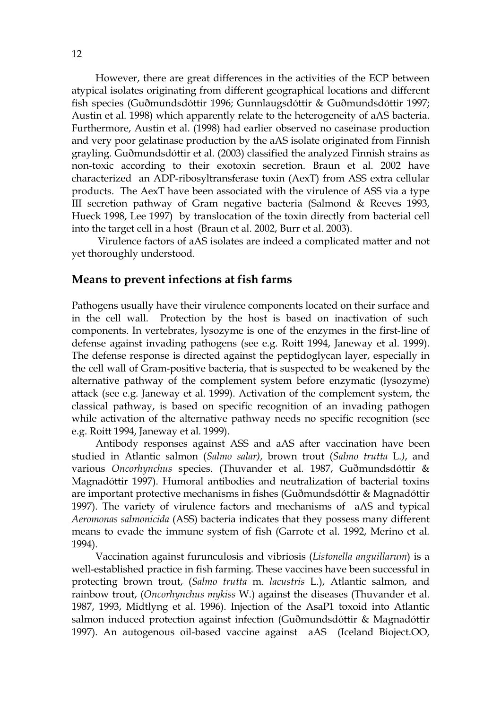However, there are great differences in the activities of the ECP between atypical isolates originating from different geographical locations and different fish species (Guðmundsdóttir 1996; Gunnlaugsdóttir & Guðmundsdóttir 1997; Austin et al. 1998) which apparently relate to the heterogeneity of aAS bacteria. Furthermore, Austin et al. (1998) had earlier observed no caseinase production and very poor gelatinase production by the aAS isolate originated from Finnish grayling. Guðmundsdóttir et al. (2003) classified the analyzed Finnish strains as non-toxic according to their exotoxin secretion. Braun et al. 2002 have characterized an ADP-ribosyltransferase toxin (AexT) from ASS extra cellular products. The AexT have been associated with the virulence of ASS via a type III secretion pathway of Gram negative bacteria (Salmond & Reeves 1993, Hueck 1998, Lee 1997) by translocation of the toxin directly from bacterial cell into the target cell in a host (Braun et al. 2002, Burr et al. 2003).

 Virulence factors of aAS isolates are indeed a complicated matter and not yet thoroughly understood.

#### **Means to prevent infections at fish farms**

Pathogens usually have their virulence components located on their surface and in the cell wall. Protection by the host is based on inactivation of such components. In vertebrates, lysozyme is one of the enzymes in the first-line of defense against invading pathogens (see e.g. Roitt 1994, Janeway et al. 1999). The defense response is directed against the peptidoglycan layer, especially in the cell wall of Gram-positive bacteria, that is suspected to be weakened by the alternative pathway of the complement system before enzymatic (lysozyme) attack (see e.g. Janeway et al. 1999). Activation of the complement system, the classical pathway, is based on specific recognition of an invading pathogen while activation of the alternative pathway needs no specific recognition (see e.g. Roitt 1994, Janeway et al*.* 1999).

Antibody responses against ASS and aAS after vaccination have been studied in Atlantic salmon (*Salmo salar)*, brown trout (*Salmo trutta* L.*)*, and various *Oncorhynchus* species. (Thuvander et al*.* 1987, Guðmundsdóttir & Magnadóttir 1997). Humoral antibodies and neutralization of bacterial toxins are important protective mechanisms in fishes (Guðmundsdóttir & Magnadóttir 1997). The variety of virulence factors and mechanisms of aAS and typical *Aeromonas salmonicida* (ASS) bacteria indicates that they possess many different means to evade the immune system of fish (Garrote et al*.* 1992, Merino et al*.* 1994).

 Vaccination against furunculosis and vibriosis (*Listonella anguillarum*) is a well-established practice in fish farming. These vaccines have been successful in protecting brown trout, (*Salmo trutta* m. *lacustris* L.), Atlantic salmon, and rainbow trout, (*Oncorhynchus mykiss* W.) against the diseases (Thuvander et al. 1987, 1993, Midtlyng et al. 1996). Injection of the AsaP1 toxoid into Atlantic salmon induced protection against infection (Guðmundsdóttir & Magnadóttir 1997). An autogenous oil-based vaccine against aAS (Iceland Bioject.OO,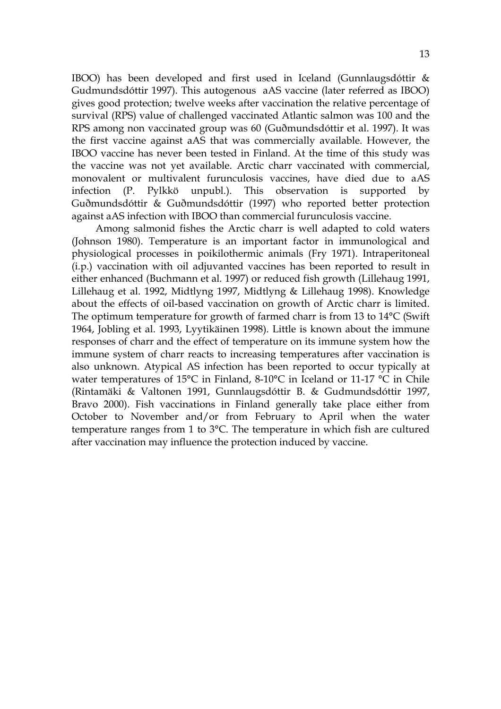IBOO) has been developed and first used in Iceland (Gunnlaugsdóttir & Gudmundsdóttir 1997). This autogenous aAS vaccine (later referred as IBOO) gives good protection; twelve weeks after vaccination the relative percentage of survival (RPS) value of challenged vaccinated Atlantic salmon was 100 and the RPS among non vaccinated group was 60 (Guðmundsdóttir et al. 1997). It was the first vaccine against aAS that was commercially available. However, the IBOO vaccine has never been tested in Finland. At the time of this study was the vaccine was not yet available. Arctic charr vaccinated with commercial, monovalent or multivalent furunculosis vaccines, have died due to aAS infection (P. Pylkkö unpubl.). This observation is supported by Guðmundsdóttir & Guðmundsdóttir (1997) who reported better protection against aAS infection with IBOO than commercial furunculosis vaccine.

 Among salmonid fishes the Arctic charr is well adapted to cold waters (Johnson 1980). Temperature is an important factor in immunological and physiological processes in poikilothermic animals (Fry 1971). Intraperitoneal (i.p.) vaccination with oil adjuvanted vaccines has been reported to result in either enhanced (Buchmann et al*.* 1997) or reduced fish growth (Lillehaug 1991, Lillehaug et al. 1992, Midtlyng 1997, Midtlyng & Lillehaug 1998). Knowledge about the effects of oil-based vaccination on growth of Arctic charr is limited. The optimum temperature for growth of farmed charr is from 13 to 14°C (Swift 1964, Jobling et al. 1993, Lyytikäinen 1998). Little is known about the immune responses of charr and the effect of temperature on its immune system how the immune system of charr reacts to increasing temperatures after vaccination is also unknown. Atypical AS infection has been reported to occur typically at water temperatures of 15°C in Finland, 8-10°C in Iceland or 11-17 °C in Chile (Rintamäki & Valtonen 1991, Gunnlaugsdóttir B. & Gudmundsdóttir 1997, Bravo 2000). Fish vaccinations in Finland generally take place either from October to November and/or from February to April when the water temperature ranges from 1 to 3°C. The temperature in which fish are cultured after vaccination may influence the protection induced by vaccine.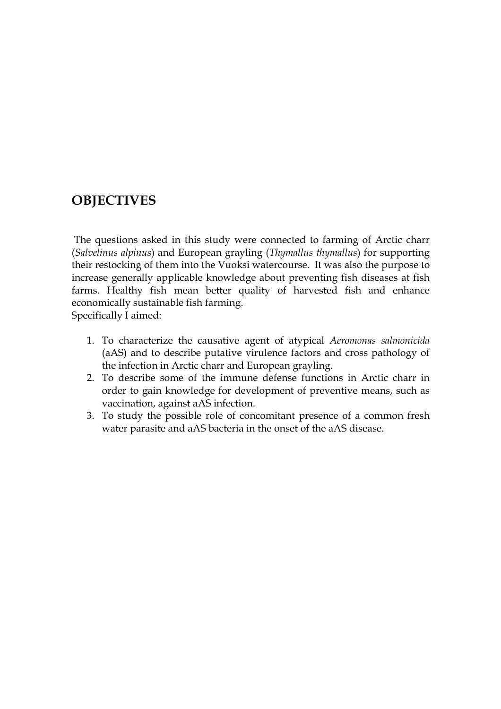# **OBJECTIVES**

 The questions asked in this study were connected to farming of Arctic charr (*Salvelinus alpinus*) and European grayling (*Thymallus thymallus*) for supporting their restocking of them into the Vuoksi watercourse. It was also the purpose to increase generally applicable knowledge about preventing fish diseases at fish farms. Healthy fish mean better quality of harvested fish and enhance economically sustainable fish farming.

Specifically I aimed:

- 1. To characterize the causative agent of atypical *Aeromonas salmonicida* (aAS) and to describe putative virulence factors and cross pathology of the infection in Arctic charr and European grayling.
- 2. To describe some of the immune defense functions in Arctic charr in order to gain knowledge for development of preventive means, such as vaccination, against aAS infection.
- 3. To study the possible role of concomitant presence of a common fresh water parasite and aAS bacteria in the onset of the aAS disease.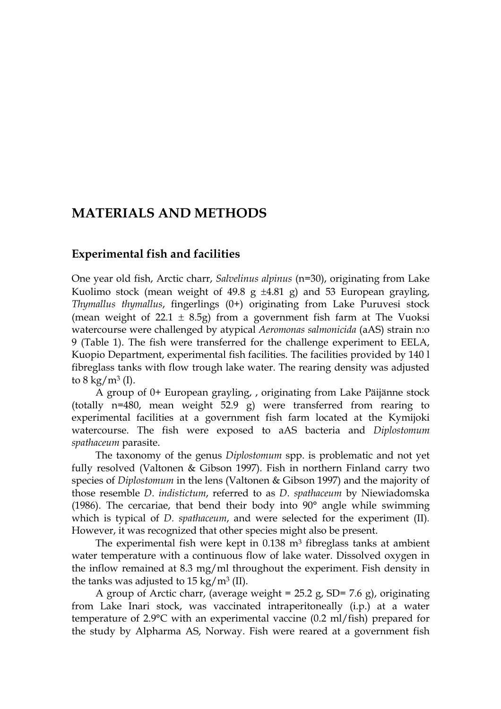# **MATERIALS AND METHODS**

#### **Experimental fish and facilities**

One year old fish, Arctic charr, *Salvelinus alpinus* (n=30), originating from Lake Kuolimo stock (mean weight of 49.8 g  $\pm 4.81$  g) and 53 European grayling, *Thymallus thymallus*, fingerlings (0+) originating from Lake Puruvesi stock (mean weight of  $22.1 \pm 8.5$ g) from a government fish farm at The Vuoksi watercourse were challenged by atypical *Aeromonas salmonicida* (aAS) strain n:o 9 (Table 1). The fish were transferred for the challenge experiment to EELA, Kuopio Department, experimental fish facilities. The facilities provided by 140 l fibreglass tanks with flow trough lake water. The rearing density was adjusted to  $8 \text{ kg/m}^3$  (I).

A group of 0+ European grayling, , originating from Lake Päijänne stock (totally n=480, mean weight 52.9 g) were transferred from rearing to experimental facilities at a government fish farm located at the Kymijoki watercourse. The fish were exposed to aAS bacteria and *Diplostomum spathaceum* parasite.

The taxonomy of the genus *Diplostomum* spp. is problematic and not yet fully resolved (Valtonen & Gibson 1997). Fish in northern Finland carry two species of *Diplostomum* in the lens (Valtonen & Gibson 1997) and the majority of those resemble *D. indistictum*, referred to as *D. spathaceum* by Niewiadomska (1986). The cercariae, that bend their body into 90° angle while swimming which is typical of *D. spathaceum*, and were selected for the experiment (II)*.* However, it was recognized that other species might also be present.

The experimental fish were kept in  $0.138$  m<sup>3</sup> fibreglass tanks at ambient water temperature with a continuous flow of lake water. Dissolved oxygen in the inflow remained at 8.3 mg/ml throughout the experiment. Fish density in the tanks was adjusted to  $15 \text{ kg/m}^3$  (II).

A group of Arctic charr, (average weight =  $25.2$  g, SD= 7.6 g), originating from Lake Inari stock, was vaccinated intraperitoneally (i.p.) at a water temperature of 2.9°C with an experimental vaccine (0.2 ml/fish) prepared for the study by Alpharma AS, Norway. Fish were reared at a government fish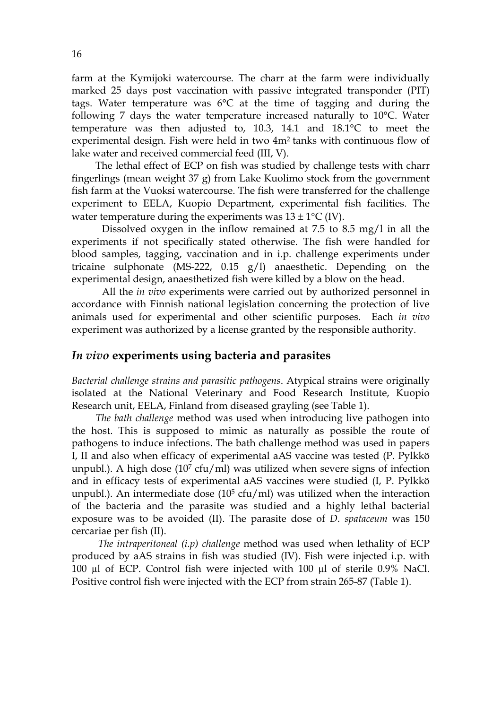farm at the Kymijoki watercourse. The charr at the farm were individually marked 25 days post vaccination with passive integrated transponder (PIT) tags. Water temperature was 6°C at the time of tagging and during the following 7 days the water temperature increased naturally to 10°C. Water temperature was then adjusted to, 10.3, 14.1 and 18.1°C to meet the experimental design. Fish were held in two 4m2 tanks with continuous flow of lake water and received commercial feed (III, V).

 The lethal effect of ECP on fish was studied by challenge tests with charr fingerlings (mean weight 37 g) from Lake Kuolimo stock from the government fish farm at the Vuoksi watercourse. The fish were transferred for the challenge experiment to EELA, Kuopio Department, experimental fish facilities. The water temperature during the experiments was  $13 \pm 1^{\circ}C$  (IV).

 Dissolved oxygen in the inflow remained at 7.5 to 8.5 mg/l in all the experiments if not specifically stated otherwise. The fish were handled for blood samples, tagging, vaccination and in i.p. challenge experiments under tricaine sulphonate (MS-222, 0.15 g/l) anaesthetic. Depending on the experimental design, anaesthetized fish were killed by a blow on the head.

 All the *in vivo* experiments were carried out by authorized personnel in accordance with Finnish national legislation concerning the protection of live animals used for experimental and other scientific purposes. Each *in vivo* experiment was authorized by a license granted by the responsible authority.

#### *In vivo* **experiments using bacteria and parasites**

*Bacterial challenge strains and parasitic pathogens*. Atypical strains were originally isolated at the National Veterinary and Food Research Institute, Kuopio Research unit, EELA, Finland from diseased grayling (see Table 1).

*The bath challenge* method was used when introducing live pathogen into the host. This is supposed to mimic as naturally as possible the route of pathogens to induce infections. The bath challenge method was used in papers I, II and also when efficacy of experimental aAS vaccine was tested (P. Pylkkö unpubl.). A high dose  $(10<sup>7</sup>$  cfu/ml) was utilized when severe signs of infection and in efficacy tests of experimental aAS vaccines were studied (I, P. Pylkkö unpubl.). An intermediate dose  $(10^5 \text{ cfu/ml})$  was utilized when the interaction of the bacteria and the parasite was studied and a highly lethal bacterial exposure was to be avoided (II). The parasite dose of *D. spataceum* was 150 cercariae per fish (II).

*The intraperitoneal (i.p) challenge* method was used when lethality of ECP produced by aAS strains in fish was studied (IV). Fish were injected i.p. with 100 µl of ECP. Control fish were injected with 100 µl of sterile 0.9% NaCl. Positive control fish were injected with the ECP from strain 265-87 (Table 1).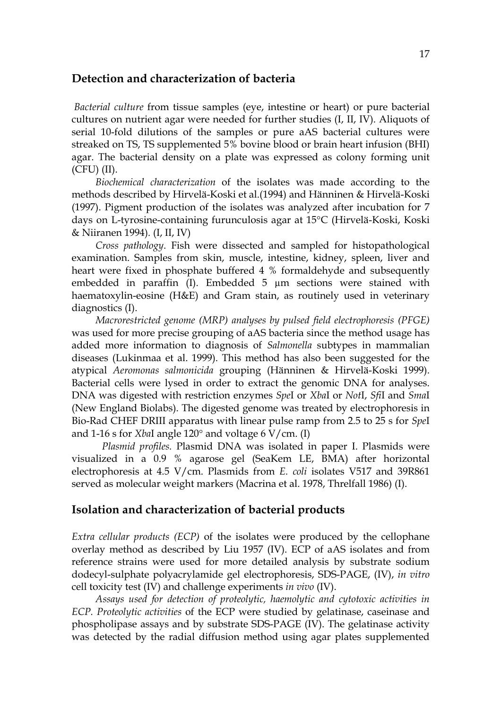#### **Detection and characterization of bacteria**

 *Bacterial culture* from tissue samples (eye, intestine or heart) or pure bacterial cultures on nutrient agar were needed for further studies (I, II, IV). Aliquots of serial 10-fold dilutions of the samples or pure aAS bacterial cultures were streaked on TS, TS supplemented 5% bovine blood or brain heart infusion (BHI) agar. The bacterial density on a plate was expressed as colony forming unit (CFU) (II).

*Biochemical characterization* of the isolates was made according to the methods described by Hirvelä-Koski et al.(1994) and Hänninen & Hirvelä-Koski (1997). Pigment production of the isolates was analyzed after incubation for 7 days on L-tyrosine-containing furunculosis agar at 15°C (Hirvelä-Koski, Koski & Niiranen 1994)*.* (I, II, IV)

*Cross pathology*. Fish were dissected and sampled for histopathological examination. Samples from skin, muscle, intestine, kidney, spleen, liver and heart were fixed in phosphate buffered 4 % formaldehyde and subsequently embedded in paraffin (I). Embedded 5  $\mu$ m sections were stained with haematoxylin-eosine (H&E) and Gram stain, as routinely used in veterinary diagnostics (I).

*Macrorestricted genome (MRP) analyses by pulsed field electrophoresis (PFGE)* was used for more precise grouping of aAS bacteria since the method usage has added more information to diagnosis of *Salmonella* subtypes in mammalian diseases (Lukinmaa et al. 1999). This method has also been suggested for the atypical *Aeromonas salmonicida* grouping (Hänninen & Hirvelä-Koski 1999). Bacterial cells were lysed in order to extract the genomic DNA for analyses. DNA was digested with restriction enzymes *Spe*I or *Xba*I or *Not*I, *Sfi*I and *Sma*I (New England Biolabs). The digested genome was treated by electrophoresis in Bio-Rad CHEF DRIII apparatus with linear pulse ramp from 2.5 to 25 s for *Spe*I and 1-16 s for *Xba*I angle 120° and voltage 6 V/cm. (I)

 *Plasmid profiles.* Plasmid DNA was isolated in paper I. Plasmids were visualized in a 0.9 % agarose gel (SeaKem LE, BMA) after horizontal electrophoresis at 4.5 V/cm. Plasmids from *E. coli* isolates V517 and 39R861 served as molecular weight markers (Macrina et al. 1978, Threlfall 1986) (I).

#### **Isolation and characterization of bacterial products**

*Extra cellular products (ECP)* of the isolates were produced by the cellophane overlay method as described by Liu 1957 (IV). ECP of aAS isolates and from reference strains were used for more detailed analysis by substrate sodium dodecyl-sulphate polyacrylamide gel electrophoresis, SDS-PAGE, (IV), *in vitro* cell toxicity test (IV) and challenge experiments *in vivo* (IV).

*Assays used for detection of proteolytic, haemolytic and cytotoxic activities in ECP. Proteolytic activities* of the ECP were studied by gelatinase, caseinase and phospholipase assays and by substrate SDS-PAGE (IV). The gelatinase activity was detected by the radial diffusion method using agar plates supplemented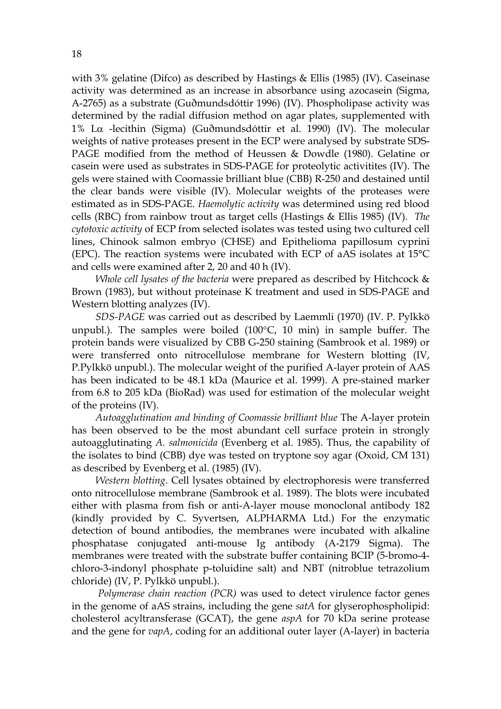with 3% gelatine (Difco) as described by Hastings & Ellis (1985) (IV). Caseinase activity was determined as an increase in absorbance using azocasein (Sigma, A-2765) as a substrate (Guðmundsdóttir 1996) (IV). Phospholipase activity was determined by the radial diffusion method on agar plates, supplemented with 1% Lα -lecithin (Sigma) (Guðmundsdóttir et al. 1990) (IV). The molecular weights of native proteases present in the ECP were analysed by substrate SDS-PAGE modified from the method of Heussen & Dowdle (1980). Gelatine or casein were used as substrates in SDS-PAGE for proteolytic activitites (IV). The gels were stained with Coomassie brilliant blue (CBB) R-250 and destained until the clear bands were visible (IV). Molecular weights of the proteases were estimated as in SDS-PAGE. *Haemolytic activity* was determined using red blood cells (RBC) from rainbow trout as target cells (Hastings & Ellis 1985) (IV). *The cytotoxic activity* of ECP from selected isolates was tested using two cultured cell lines, Chinook salmon embryo (CHSE) and Epithelioma papillosum cyprini (EPC). The reaction systems were incubated with ECP of aAS isolates at 15°C and cells were examined after 2, 20 and 40 h (IV).

*Whole cell lysates of the bacteria* were prepared as described by Hitchcock & Brown (1983), but without proteinase K treatment and used in SDS-PAGE and Western blotting analyzes (IV).

*SDS-PAGE* was carried out as described by Laemmli (1970) (IV. P. Pylkkö unpubl.)*.* The samples were boiled (100°C, 10 min) in sample buffer. The protein bands were visualized by CBB G-250 staining (Sambrook et al. 1989) or were transferred onto nitrocellulose membrane for Western blotting (IV, P.Pylkkö unpubl.). The molecular weight of the purified A-layer protein of AAS has been indicated to be 48.1 kDa (Maurice et al. 1999). A pre-stained marker from 6.8 to 205 kDa (BioRad) was used for estimation of the molecular weight of the proteins (IV).

*Autoagglutination and binding of Coomassie brilliant blue* The A-layer protein has been observed to be the most abundant cell surface protein in strongly autoagglutinating *A. salmonicida* (Evenberg et al. 1985). Thus, the capability of the isolates to bind (CBB) dye was tested on tryptone soy agar (Oxoid, CM 131) as described by Evenberg et al. (1985) (IV).

*Western blotting*. Cell lysates obtained by electrophoresis were transferred onto nitrocellulose membrane (Sambrook et al. 1989). The blots were incubated either with plasma from fish or anti-A-layer mouse monoclonal antibody 182 (kindly provided by C. Syvertsen, ALPHARMA Ltd.) For the enzymatic detection of bound antibodies, the membranes were incubated with alkaline phosphatase conjugated anti-mouse Ig antibody (A-2179 Sigma). The membranes were treated with the substrate buffer containing BCIP (5-bromo-4 chloro-3-indonyl phosphate p-toluidine salt) and NBT (nitroblue tetrazolium chloride) (IV, P. Pylkkö unpubl.).

 *Polymerase chain reaction (PCR)* was used to detect virulence factor genes in the genome of aAS strains, including the gene *satA* for glyserophospholipid: cholesterol acyltransferase (GCAT), the gene *aspA* for 70 kDa serine protease and the gene for *vapA*, coding for an additional outer layer (A-layer) in bacteria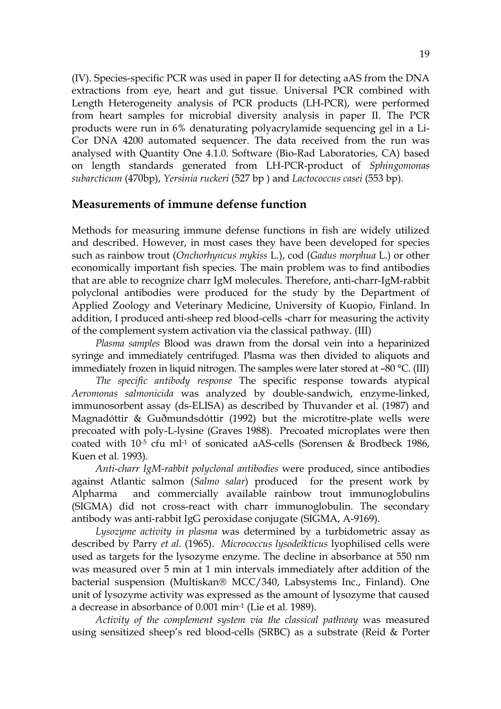(IV). Species-specific PCR was used in paper II for detecting aAS from the DNA extractions from eye, heart and gut tissue. Universal PCR combined with Length Heterogeneity analysis of PCR products (LH-PCR), were performed from heart samples for microbial diversity analysis in paper II. The PCR products were run in 6% denaturating polyacrylamide sequencing gel in a Li-Cor DNA 4200 automated sequencer. The data received from the run was analysed with Quantity One 4.1.0. Software (Bio-Rad Laboratories, CA) based on length standards generated from LH-PCR-product of *Sphingomonas subarcticum* (470bp), *Yersinia ruckeri* (527 bp ) and *Lactococcus casei* (553 bp).

#### **Measurements of immune defense function**

Methods for measuring immune defense functions in fish are widely utilized and described. However, in most cases they have been developed for species such as rainbow trout (*Onchorhyncus mykiss* L*.*), cod (*Gadus morphua* L.) or other economically important fish species. The main problem was to find antibodies that are able to recognize charr IgM molecules. Therefore, anti-charr-IgM-rabbit polyclonal antibodies were produced for the study by the Department of Applied Zoology and Veterinary Medicine, University of Kuopio, Finland. In addition, I produced anti-sheep red blood-cells -charr for measuring the activity of the complement system activation via the classical pathway. (III)

*Plasma samples* Blood was drawn from the dorsal vein into a heparinized syringe and immediately centrifuged. Plasma was then divided to aliquots and immediately frozen in liquid nitrogen. The samples were later stored at –80 °C. (III)

*The specific antibody response* The specific response towards atypical *Aeromonas salmonicida* was analyzed by double-sandwich, enzyme-linked, immunosorbent assay (ds-ELISA) as described by Thuvander et al*.* (1987) and Magnadóttir & Guðmundsdóttir (1992) but the microtitre-plate wells were precoated with poly-L-lysine (Graves 1988). Precoated microplates were then coated with 10-5 cfu ml-1 of sonicated aAS-cells (Sorensen & Brodbeck 1986, Kuen et al*.* 1993).

*Anti-charr IgM-rabbit polyclonal antibodies* were produced, since antibodies against Atlantic salmon (*Salmo salar*) produced for the present work by Alpharma and commercially available rainbow trout immunoglobulins (SIGMA) did not cross-react with charr immunoglobulin. The secondary antibody was anti-rabbit IgG peroxidase conjugate (SIGMA, A-9169).

*Lysozyme activity in plasma* was determined by a turbidometric assay as described by Parry *et al.* (1965). *Micrococcus lysodeikticus* lyophilised cells were used as targets for the lysozyme enzyme. The decline in absorbance at 550 nm was measured over 5 min at 1 min intervals immediately after addition of the bacterial suspension (Multiskan® MCC/340, Labsystems Inc., Finland). One unit of lysozyme activity was expressed as the amount of lysozyme that caused a decrease in absorbance of 0.001 min-1 (Lie et al*.* 1989).

*Activity of the complement system via the classical pathway* was measured using sensitized sheep's red blood-cells (SRBC) as a substrate (Reid & Porter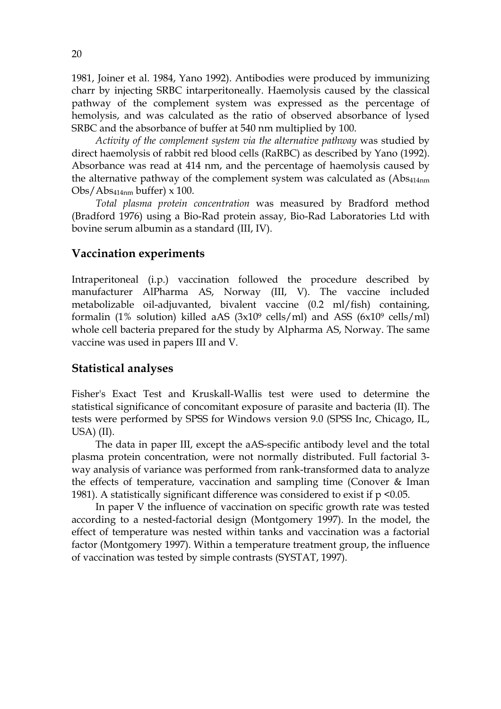1981, Joiner et al. 1984, Yano 1992). Antibodies were produced by immunizing charr by injecting SRBC intarperitoneally. Haemolysis caused by the classical pathway of the complement system was expressed as the percentage of hemolysis, and was calculated as the ratio of observed absorbance of lysed SRBC and the absorbance of buffer at 540 nm multiplied by 100.

*Activity of the complement system via the alternative pathway* was studied by direct haemolysis of rabbit red blood cells (RaRBC) as described by Yano (1992). Absorbance was read at 414 nm, and the percentage of haemolysis caused by the alternative pathway of the complement system was calculated as (Abs<sub>414nm</sub>)  $Obs/Abs_{414nm}$  buffer)  $\times$  100.

*Total plasma protein concentration* was measured by Bradford method (Bradford 1976) using a Bio-Rad protein assay, Bio-Rad Laboratories Ltd with bovine serum albumin as a standard (III, IV).

#### **Vaccination experiments**

Intraperitoneal (i.p.) vaccination followed the procedure described by manufacturer AlPharma AS, Norway (III, V). The vaccine included metabolizable oil-adjuvanted, bivalent vaccine (0.2 ml/fish) containing, formalin (1% solution) killed aAS ( $3x10^9$  cells/ml) and ASS ( $6x10^9$  cells/ml) whole cell bacteria prepared for the study by Alpharma AS, Norway. The same vaccine was used in papers III and V.

#### **Statistical analyses**

Fisher's Exact Test and Kruskall-Wallis test were used to determine the statistical significance of concomitant exposure of parasite and bacteria (II). The tests were performed by SPSS for Windows version 9.0 (SPSS Inc, Chicago, IL, USA) (II).

The data in paper III, except the aAS-specific antibody level and the total plasma protein concentration, were not normally distributed. Full factorial 3 way analysis of variance was performed from rank-transformed data to analyze the effects of temperature, vaccination and sampling time (Conover & Iman 1981). A statistically significant difference was considered to exist if  $p \le 0.05$ .

In paper V the influence of vaccination on specific growth rate was tested according to a nested-factorial design (Montgomery 1997). In the model, the effect of temperature was nested within tanks and vaccination was a factorial factor (Montgomery 1997). Within a temperature treatment group, the influence of vaccination was tested by simple contrasts (SYSTAT, 1997).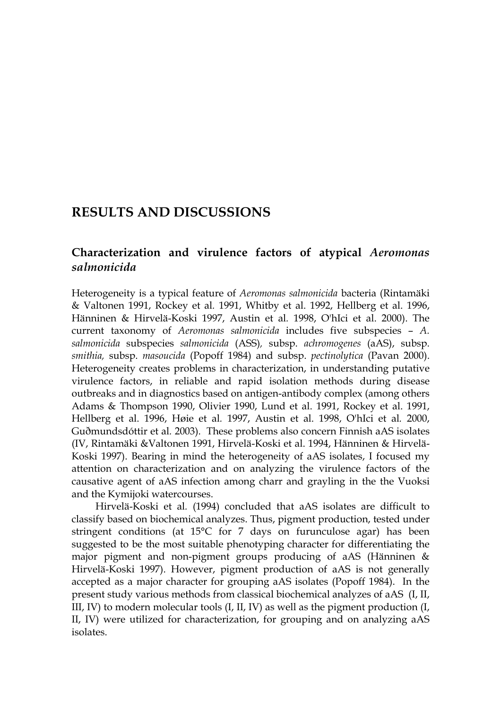# **RESULTS AND DISCUSSIONS**

### **Characterization and virulence factors of atypical** *Aeromonas salmonicida*

Heterogeneity is a typical feature of *Aeromonas salmonicida* bacteria (Rintamäki & Valtonen 1991, Rockey et al*.* 1991, Whitby et al. 1992, Hellberg et al. 1996, Hänninen & Hirvelä-Koski 1997, Austin et al*.* 1998, O'hIci et al. 2000). The current taxonomy of *Aeromonas salmonicida* includes five subspecies – *A. salmonicida* subspecies *salmonicida* (ASS)*,* subsp. *achromogenes* (aAS), subsp. *smithia,* subsp. *masoucida* (Popoff 1984) and subsp. *pectinolytica* (Pavan 2000). Heterogeneity creates problems in characterization, in understanding putative virulence factors, in reliable and rapid isolation methods during disease outbreaks and in diagnostics based on antigen-antibody complex (among others Adams & Thompson 1990, Olivier 1990, Lund et al. 1991, Rockey et al. 1991, Hellberg et al. 1996, Høie et al*.* 1997, Austin et al. 1998, O'hIci et al*.* 2000, Guðmundsdóttir et al*.* 2003). These problems also concern Finnish aAS isolates (IV, Rintamäki &Valtonen 1991, Hirvelä-Koski et al. 1994, Hänninen & Hirvelä-Koski 1997). Bearing in mind the heterogeneity of aAS isolates, I focused my attention on characterization and on analyzing the virulence factors of the causative agent of aAS infection among charr and grayling in the the Vuoksi and the Kymijoki watercourses.

Hirvelä-Koski et al*.* (1994) concluded that aAS isolates are difficult to classify based on biochemical analyzes. Thus, pigment production, tested under stringent conditions (at 15°C for 7 days on furunculose agar) has been suggested to be the most suitable phenotyping character for differentiating the major pigment and non-pigment groups producing of aAS (Hänninen & Hirvelä-Koski 1997). However, pigment production of aAS is not generally accepted as a major character for grouping aAS isolates (Popoff 1984). In the present study various methods from classical biochemical analyzes of aAS (I, II, III, IV) to modern molecular tools (I, II, IV) as well as the pigment production (I, II, IV) were utilized for characterization, for grouping and on analyzing aAS isolates.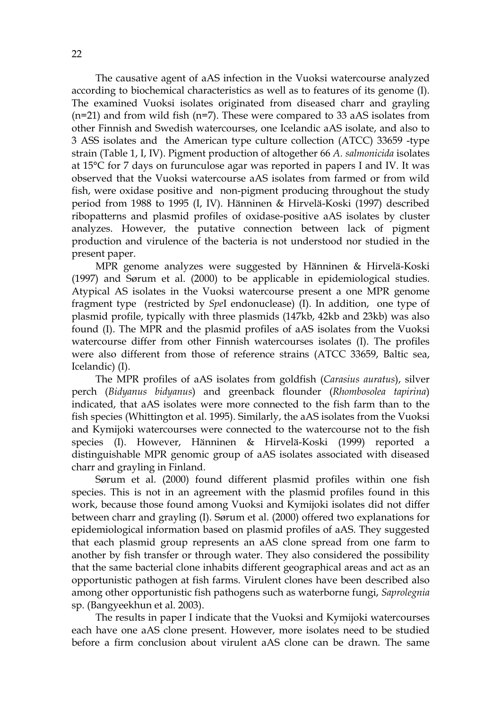The causative agent of aAS infection in the Vuoksi watercourse analyzed according to biochemical characteristics as well as to features of its genome (I). The examined Vuoksi isolates originated from diseased charr and grayling  $(n=21)$  and from wild fish  $(n=7)$ . These were compared to 33 aAS isolates from other Finnish and Swedish watercourses, one Icelandic aAS isolate, and also to 3 ASS isolates and the American type culture collection (ATCC) 33659 -type strain (Table 1, I, IV). Pigment production of altogether 66 *A. salmonicida* isolates at 15°C for 7 days on furunculose agar was reported in papers I and IV. It was observed that the Vuoksi watercourse aAS isolates from farmed or from wild fish, were oxidase positive and non-pigment producing throughout the study period from 1988 to 1995 (I, IV). Hänninen & Hirvelä-Koski (1997) described ribopatterns and plasmid profiles of oxidase-positive aAS isolates by cluster analyzes. However, the putative connection between lack of pigment production and virulence of the bacteria is not understood nor studied in the present paper.

MPR genome analyzes were suggested by Hänninen & Hirvelä-Koski (1997) and Sørum et al. (2000) to be applicable in epidemiological studies. Atypical AS isolates in the Vuoksi watercourse present a one MPR genome fragment type (restricted by *Spe*I endonuclease) (I). In addition, one type of plasmid profile, typically with three plasmids (147kb, 42kb and 23kb) was also found (I). The MPR and the plasmid profiles of aAS isolates from the Vuoksi watercourse differ from other Finnish watercourses isolates (I). The profiles were also different from those of reference strains (ATCC 33659, Baltic sea, Icelandic) (I).

The MPR profiles of aAS isolates from goldfish (*Carasius auratus*), silver perch (*Bidyanus bidyanus*) and greenback flounder (*Rhombosolea tapirina*) indicated, that aAS isolates were more connected to the fish farm than to the fish species (Whittington et al. 1995). Similarly, the aAS isolates from the Vuoksi and Kymijoki watercourses were connected to the watercourse not to the fish species (I). However, Hänninen & Hirvelä-Koski (1999) reported a distinguishable MPR genomic group of aAS isolates associated with diseased charr and grayling in Finland.

Sørum et al. (2000) found different plasmid profiles within one fish species. This is not in an agreement with the plasmid profiles found in this work, because those found among Vuoksi and Kymijoki isolates did not differ between charr and grayling (I). Sørum et al. (2000) offered two explanations for epidemiological information based on plasmid profiles of aAS. They suggested that each plasmid group represents an aAS clone spread from one farm to another by fish transfer or through water. They also considered the possibility that the same bacterial clone inhabits different geographical areas and act as an opportunistic pathogen at fish farms. Virulent clones have been described also among other opportunistic fish pathogens such as waterborne fungi, *Saprolegnia* sp. (Bangyeekhun et al. 2003).

The results in paper I indicate that the Vuoksi and Kymijoki watercourses each have one aAS clone present. However, more isolates need to be studied before a firm conclusion about virulent aAS clone can be drawn. The same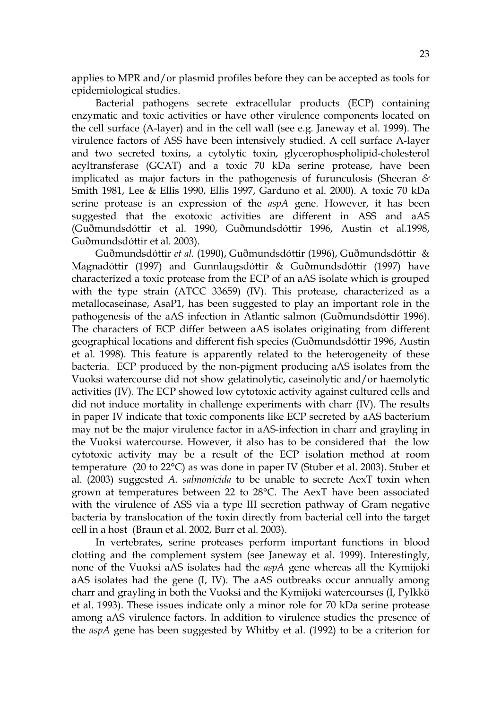applies to MPR and/or plasmid profiles before they can be accepted as tools for epidemiological studies.

Bacterial pathogens secrete extracellular products (ECP) containing enzymatic and toxic activities or have other virulence components located on the cell surface (A-layer) and in the cell wall (see e.g. Janeway et al. 1999). The virulence factors of ASS have been intensively studied. A cell surface A-layer and two secreted toxins, a cytolytic toxin, glycerophospholipid-cholesterol acyltransferase (GCAT) and a toxic 70 kDa serine protease, have been implicated as major factors in the pathogenesis of furunculosis (Sheeran *&* Smith 1981, Lee & Ellis 1990, Ellis 1997, Garduno et al. 2000). A toxic 70 kDa serine protease is an expression of the *aspA* gene. However, it has been suggested that the exotoxic activities are different in ASS and aAS (Guðmundsdóttir et al. 1990, Guðmundsdóttir 1996, Austin et al*.*1998, Guðmundsdóttir et al*.* 2003).

Guðmundsdóttir *et al.* (1990), Guðmundsdóttir (1996), Guðmundsdóttir & Magnadóttir (1997) and Gunnlaugsdóttir & Guðmundsdóttir (1997) have characterized a toxic protease from the ECP of an aAS isolate which is grouped with the type strain (ATCC 33659) (IV). This protease, characterized as a metallocaseinase, AsaP1, has been suggested to play an important role in the pathogenesis of the aAS infection in Atlantic salmon (Guðmundsdóttir 1996). The characters of ECP differ between aAS isolates originating from different geographical locations and different fish species (Guðmundsdóttir 1996, Austin et al*.* 1998). This feature is apparently related to the heterogeneity of these bacteria. ECP produced by the non-pigment producing aAS isolates from the Vuoksi watercourse did not show gelatinolytic, caseinolytic and/or haemolytic activities (IV). The ECP showed low cytotoxic activity against cultured cells and did not induce mortality in challenge experiments with charr (IV). The results in paper IV indicate that toxic components like ECP secreted by aAS bacterium may not be the major virulence factor in aAS-infection in charr and grayling in the Vuoksi watercourse. However, it also has to be considered that the low cytotoxic activity may be a result of the ECP isolation method at room temperature (20 to 22°C) as was done in paper IV (Stuber et al. 2003). Stuber et al. (2003) suggested *A. salmonicida* to be unable to secrete AexT toxin when grown at temperatures between 22 to 28°C. The AexT have been associated with the virulence of ASS via a type III secretion pathway of Gram negative bacteria by translocation of the toxin directly from bacterial cell into the target cell in a host (Braun et al. 2002, Burr et al. 2003).

In vertebrates, serine proteases perform important functions in blood clotting and the complement system (see Janeway et al*.* 1999). Interestingly, none of the Vuoksi aAS isolates had the *aspA* gene whereas all the Kymijoki aAS isolates had the gene (I, IV). The aAS outbreaks occur annually among charr and grayling in both the Vuoksi and the Kymijoki watercourses (I, Pylkkö et al. 1993). These issues indicate only a minor role for 70 kDa serine protease among aAS virulence factors. In addition to virulence studies the presence of the *aspA* gene has been suggested by Whitby et al. (1992) to be a criterion for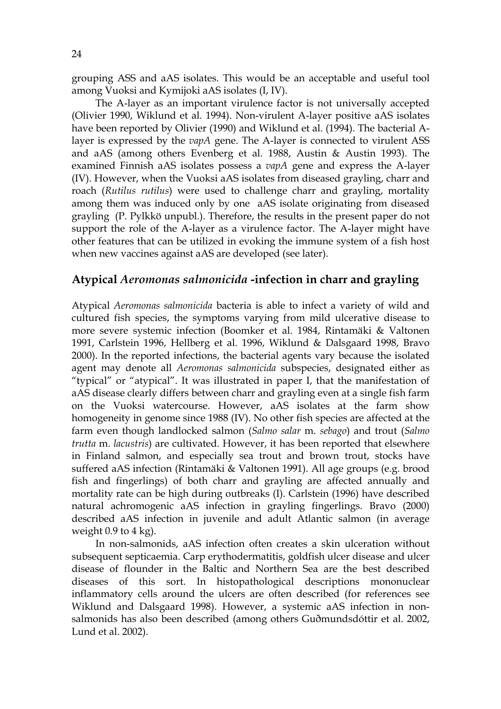grouping ASS and aAS isolates. This would be an acceptable and useful tool among Vuoksi and Kymijoki aAS isolates (I, IV).

The A-layer as an important virulence factor is not universally accepted (Olivier 1990, Wiklund et al. 1994). Non-virulent A-layer positive aAS isolates have been reported by Olivier (1990) and Wiklund et al. (1994). The bacterial Alayer is expressed by the *vapA* gene. The A-layer is connected to virulent ASS and aAS (among others Evenberg et al. 1988, Austin & Austin 1993). The examined Finnish aAS isolates possess a *vapA* gene and express the A-layer (IV). However, when the Vuoksi aAS isolates from diseased grayling, charr and roach (*Rutilus rutilus*) were used to challenge charr and grayling, mortality among them was induced only by one aAS isolate originating from diseased grayling (P. Pylkkö unpubl.). Therefore, the results in the present paper do not support the role of the A-layer as a virulence factor. The A-layer might have other features that can be utilized in evoking the immune system of a fish host when new vaccines against aAS are developed (see later).

## **Atypical** *Aeromonas salmonicida* **-infection in charr and grayling**

Atypical *Aeromonas salmonicida* bacteria is able to infect a variety of wild and cultured fish species, the symptoms varying from mild ulcerative disease to more severe systemic infection (Boomker et al. 1984, Rintamäki & Valtonen 1991, Carlstein 1996, Hellberg et al. 1996, Wiklund & Dalsgaard 1998, Bravo 2000). In the reported infections, the bacterial agents vary because the isolated agent may denote all *Aeromonas salmonicida* subspecies, designated either as "typical" or "atypical". It was illustrated in paper I, that the manifestation of aAS disease clearly differs between charr and grayling even at a single fish farm on the Vuoksi watercourse. However, aAS isolates at the farm show homogeneity in genome since 1988 (IV). No other fish species are affected at the farm even though landlocked salmon (*Salmo salar* m. *sebago*) and trout (*Salmo trutta* m. *lacustris*) are cultivated. However, it has been reported that elsewhere in Finland salmon, and especially sea trout and brown trout, stocks have suffered aAS infection (Rintamäki & Valtonen 1991). All age groups (e.g. brood fish and fingerlings) of both charr and grayling are affected annually and mortality rate can be high during outbreaks (I). Carlstein (1996) have described natural achromogenic aAS infection in grayling fingerlings. Bravo (2000) described aAS infection in juvenile and adult Atlantic salmon (in average weight  $0.9$  to  $4 \text{ kg}$ ).

In non-salmonids, aAS infection often creates a skin ulceration without subsequent septicaemia. Carp erythodermatitis, goldfish ulcer disease and ulcer disease of flounder in the Baltic and Northern Sea are the best described diseases of this sort. In histopathological descriptions mononuclear inflammatory cells around the ulcers are often described (for references see Wiklund and Dalsgaard 1998). However, a systemic aAS infection in nonsalmonids has also been described (among others Guðmundsdóttir et al. 2002, Lund et al. 2002).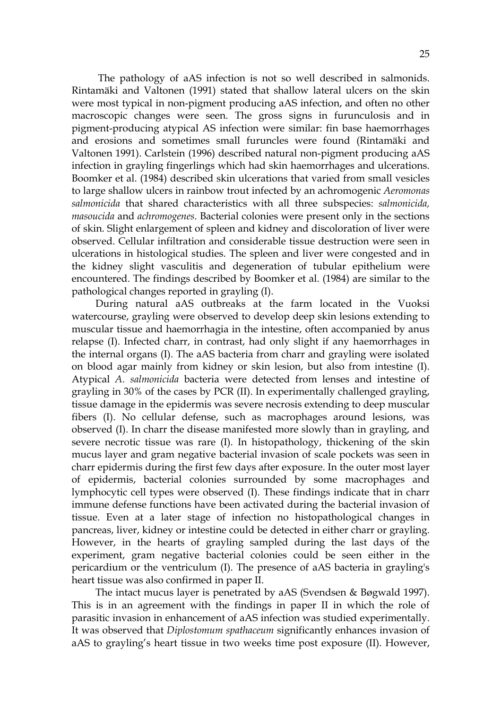The pathology of aAS infection is not so well described in salmonids. Rintamäki and Valtonen (1991) stated that shallow lateral ulcers on the skin were most typical in non-pigment producing aAS infection, and often no other macroscopic changes were seen. The gross signs in furunculosis and in pigment-producing atypical AS infection were similar: fin base haemorrhages and erosions and sometimes small furuncles were found (Rintamäki and Valtonen 1991). Carlstein (1996) described natural non-pigment producing aAS infection in grayling fingerlings which had skin haemorrhages and ulcerations. Boomker et al. (1984) described skin ulcerations that varied from small vesicles to large shallow ulcers in rainbow trout infected by an achromogenic *Aeromonas salmonicida* that shared characteristics with all three subspecies: *salmonicida, masoucida* and *achromogenes*. Bacterial colonies were present only in the sections of skin. Slight enlargement of spleen and kidney and discoloration of liver were observed. Cellular infiltration and considerable tissue destruction were seen in ulcerations in histological studies. The spleen and liver were congested and in the kidney slight vasculitis and degeneration of tubular epithelium were encountered. The findings described by Boomker et al. (1984) are similar to the pathological changes reported in grayling (I).

During natural aAS outbreaks at the farm located in the Vuoksi watercourse, grayling were observed to develop deep skin lesions extending to muscular tissue and haemorrhagia in the intestine, often accompanied by anus relapse (I). Infected charr, in contrast, had only slight if any haemorrhages in the internal organs (I). The aAS bacteria from charr and grayling were isolated on blood agar mainly from kidney or skin lesion, but also from intestine (I). Atypical *A. salmonicida* bacteria were detected from lenses and intestine of grayling in 30% of the cases by PCR (II). In experimentally challenged grayling, tissue damage in the epidermis was severe necrosis extending to deep muscular fibers (I). No cellular defense, such as macrophages around lesions, was observed (I). In charr the disease manifested more slowly than in grayling, and severe necrotic tissue was rare (I). In histopathology, thickening of the skin mucus layer and gram negative bacterial invasion of scale pockets was seen in charr epidermis during the first few days after exposure. In the outer most layer of epidermis, bacterial colonies surrounded by some macrophages and lymphocytic cell types were observed (I). These findings indicate that in charr immune defense functions have been activated during the bacterial invasion of tissue. Even at a later stage of infection no histopathological changes in pancreas, liver, kidney or intestine could be detected in either charr or grayling. However, in the hearts of grayling sampled during the last days of the experiment, gram negative bacterial colonies could be seen either in the pericardium or the ventriculum (I). The presence of aAS bacteria in grayling's heart tissue was also confirmed in paper II.

The intact mucus layer is penetrated by aAS (Svendsen & Bøgwald 1997). This is in an agreement with the findings in paper II in which the role of parasitic invasion in enhancement of aAS infection was studied experimentally. It was observed that *Diplostomum spathaceum* significantly enhances invasion of aAS to grayling's heart tissue in two weeks time post exposure (II). However,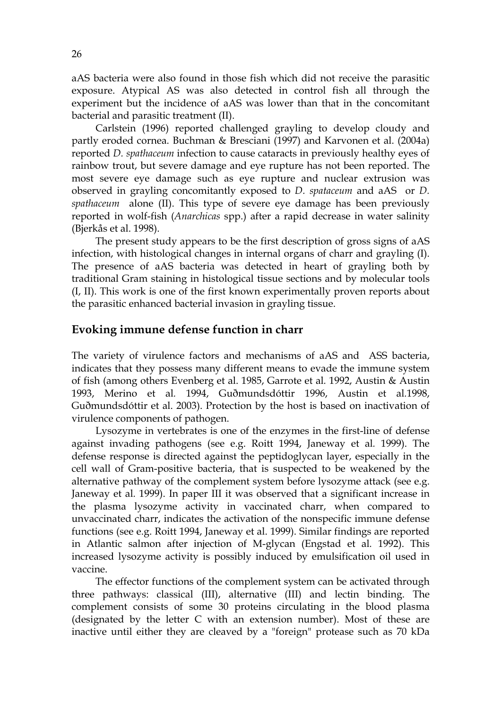aAS bacteria were also found in those fish which did not receive the parasitic exposure. Atypical AS was also detected in control fish all through the experiment but the incidence of aAS was lower than that in the concomitant bacterial and parasitic treatment (II).

Carlstein (1996) reported challenged grayling to develop cloudy and partly eroded cornea. Buchman & Bresciani (1997) and Karvonen et al. (2004a) reported *D. spathaceum* infection to cause cataracts in previously healthy eyes of rainbow trout, but severe damage and eye rupture has not been reported. The most severe eye damage such as eye rupture and nuclear extrusion was observed in grayling concomitantly exposed to *D. spataceum* and aAS or *D. spathaceum* alone (II). This type of severe eye damage has been previously reported in wolf-fish (*Anarchicas* spp.) after a rapid decrease in water salinity (Bjerkås et al. 1998).

The present study appears to be the first description of gross signs of aAS infection, with histological changes in internal organs of charr and grayling (I). The presence of aAS bacteria was detected in heart of grayling both by traditional Gram staining in histological tissue sections and by molecular tools (I, II). This work is one of the first known experimentally proven reports about the parasitic enhanced bacterial invasion in grayling tissue.

#### **Evoking immune defense function in charr**

The variety of virulence factors and mechanisms of aAS and ASS bacteria, indicates that they possess many different means to evade the immune system of fish (among others Evenberg et al. 1985, Garrote et al*.* 1992, Austin & Austin 1993, Merino et al*.* 1994, Guðmundsdóttir 1996, Austin et al*.*1998, Guðmundsdóttir et al. 2003). Protection by the host is based on inactivation of virulence components of pathogen.

Lysozyme in vertebrates is one of the enzymes in the first-line of defense against invading pathogens (see e.g. Roitt 1994, Janeway et al*.* 1999). The defense response is directed against the peptidoglycan layer, especially in the cell wall of Gram-positive bacteria, that is suspected to be weakened by the alternative pathway of the complement system before lysozyme attack (see e.g. Janeway et al*.* 1999). In paper III it was observed that a significant increase in the plasma lysozyme activity in vaccinated charr, when compared to unvaccinated charr, indicates the activation of the nonspecific immune defense functions (see e.g. Roitt 1994, Janeway et al. 1999). Similar findings are reported in Atlantic salmon after injection of M-glycan (Engstad et al*.* 1992). This increased lysozyme activity is possibly induced by emulsification oil used in vaccine.

The effector functions of the complement system can be activated through three pathways: classical (III), alternative (III) and lectin binding. The complement consists of some 30 proteins circulating in the blood plasma (designated by the letter C with an extension number). Most of these are inactive until either they are cleaved by a "foreign" protease such as 70 kDa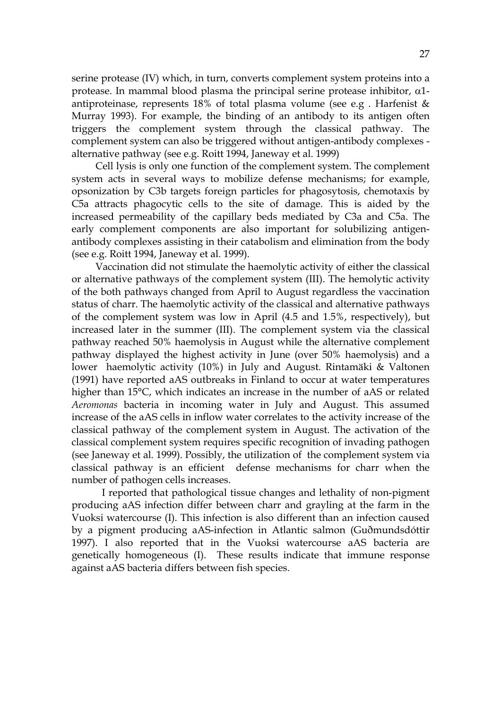serine protease (IV) which, in turn, converts complement system proteins into a protease. In mammal blood plasma the principal serine protease inhibitor,  $\alpha$ 1antiproteinase, represents 18% of total plasma volume (see e.g . Harfenist & Murray 1993). For example, the binding of an antibody to its antigen often triggers the complement system through the classical pathway. The complement system can also be triggered without antigen-antibody complexes alternative pathway (see e.g. Roitt 1994, Janeway et al. 1999)

Cell lysis is only one function of the complement system. The complement system acts in several ways to mobilize defense mechanisms; for example, opsonization by C3b targets foreign particles for phagosytosis, chemotaxis by C5a attracts phagocytic cells to the site of damage. This is aided by the increased permeability of the capillary beds mediated by C3a and C5a. The early complement components are also important for solubilizing antigenantibody complexes assisting in their catabolism and elimination from the body (see e.g. Roitt 1994, Janeway et al*.* 1999).

Vaccination did not stimulate the haemolytic activity of either the classical or alternative pathways of the complement system (III). The hemolytic activity of the both pathways changed from April to August regardless the vaccination status of charr. The haemolytic activity of the classical and alternative pathways of the complement system was low in April (4.5 and 1.5%, respectively), but increased later in the summer (III). The complement system via the classical pathway reached 50% haemolysis in August while the alternative complement pathway displayed the highest activity in June (over 50% haemolysis) and a lower haemolytic activity (10%) in July and August. Rintamäki & Valtonen (1991) have reported aAS outbreaks in Finland to occur at water temperatures higher than 15°C, which indicates an increase in the number of aAS or related *Aeromonas* bacteria in incoming water in July and August. This assumed increase of the aAS cells in inflow water correlates to the activity increase of the classical pathway of the complement system in August. The activation of the classical complement system requires specific recognition of invading pathogen (see Janeway et al*.* 1999). Possibly, the utilization of the complement system via classical pathway is an efficient defense mechanisms for charr when the number of pathogen cells increases.

 I reported that pathological tissue changes and lethality of non-pigment producing aAS infection differ between charr and grayling at the farm in the Vuoksi watercourse (I). This infection is also different than an infection caused by a pigment producing aAS-infection in Atlantic salmon (Guðmundsdóttir 1997). I also reported that in the Vuoksi watercourse aAS bacteria are genetically homogeneous (I). These results indicate that immune response against aAS bacteria differs between fish species.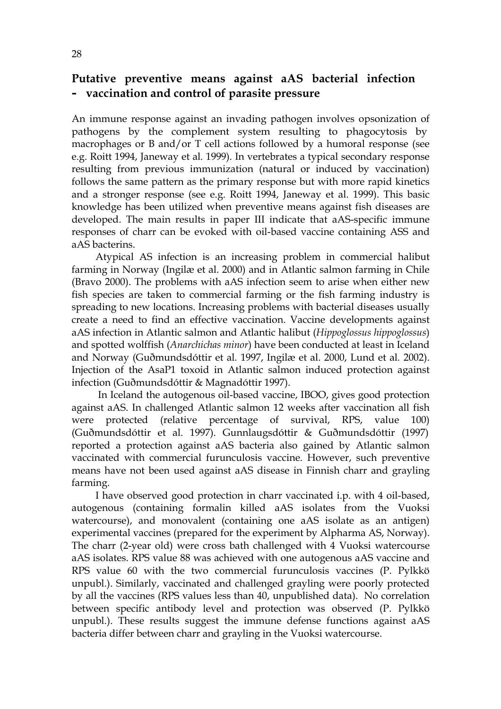### **Putative preventive means against aAS bacterial infection – vaccination and control of parasite pressure**

An immune response against an invading pathogen involves opsonization of pathogens by the complement system resulting to phagocytosis by macrophages or B and/or T cell actions followed by a humoral response (see e.g. Roitt 1994, Janeway et al*.* 1999). In vertebrates a typical secondary response resulting from previous immunization (natural or induced by vaccination) follows the same pattern as the primary response but with more rapid kinetics and a stronger response (see e.g. Roitt 1994, Janeway et al. 1999). This basic knowledge has been utilized when preventive means against fish diseases are developed. The main results in paper III indicate that aAS-specific immune responses of charr can be evoked with oil-based vaccine containing ASS and aAS bacterins.

Atypical AS infection is an increasing problem in commercial halibut farming in Norway (Ingilæ et al. 2000) and in Atlantic salmon farming in Chile (Bravo 2000). The problems with aAS infection seem to arise when either new fish species are taken to commercial farming or the fish farming industry is spreading to new locations. Increasing problems with bacterial diseases usually create a need to find an effective vaccination. Vaccine developments against aAS infection in Atlantic salmon and Atlantic halibut (*Hippoglossus hippoglossus*) and spotted wolffish (*Anarchichas minor*) have been conducted at least in Iceland and Norway (Guðmundsdóttir et al*.* 1997, Ingilæ et al. 2000, Lund et al*.* 2002). Injection of the AsaP1 toxoid in Atlantic salmon induced protection against infection (Guðmundsdóttir & Magnadóttir 1997).

 In Iceland the autogenous oil-based vaccine, IBOO, gives good protection against aAS. In challenged Atlantic salmon 12 weeks after vaccination all fish were protected (relative percentage of survival, RPS, value 100) (Guðmundsdóttir et al. 1997). Gunnlaugsdóttir & Guðmundsdóttir (1997) reported a protection against aAS bacteria also gained by Atlantic salmon vaccinated with commercial furunculosis vaccine. However, such preventive means have not been used against aAS disease in Finnish charr and grayling farming.

I have observed good protection in charr vaccinated i.p. with 4 oil-based, autogenous (containing formalin killed aAS isolates from the Vuoksi watercourse), and monovalent (containing one aAS isolate as an antigen) experimental vaccines (prepared for the experiment by Alpharma AS, Norway). The charr (2-year old) were cross bath challenged with 4 Vuoksi watercourse aAS isolates. RPS value 88 was achieved with one autogenous aAS vaccine and RPS value 60 with the two commercial furunculosis vaccines (P. Pylkkö unpubl.). Similarly, vaccinated and challenged grayling were poorly protected by all the vaccines (RPS values less than 40, unpublished data). No correlation between specific antibody level and protection was observed (P. Pylkkö unpubl.). These results suggest the immune defense functions against aAS bacteria differ between charr and grayling in the Vuoksi watercourse.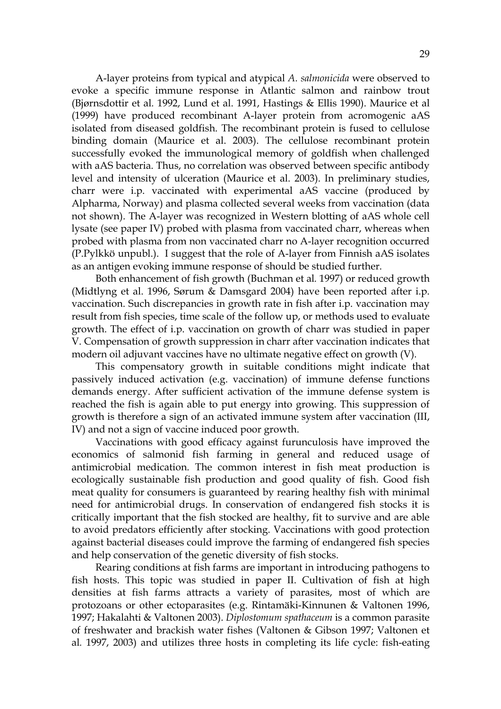A-layer proteins from typical and atypical *A. salmonicida* were observed to evoke a specific immune response in Atlantic salmon and rainbow trout (Bjørnsdottir et al*.* 1992, Lund et al. 1991, Hastings & Ellis 1990). Maurice et al (1999) have produced recombinant A-layer protein from acromogenic aAS isolated from diseased goldfish. The recombinant protein is fused to cellulose binding domain (Maurice et al. 2003). The cellulose recombinant protein successfully evoked the immunological memory of goldfish when challenged with aAS bacteria. Thus, no correlation was observed between specific antibody level and intensity of ulceration (Maurice et al. 2003). In preliminary studies, charr were i.p. vaccinated with experimental aAS vaccine (produced by Alpharma, Norway) and plasma collected several weeks from vaccination (data not shown). The A-layer was recognized in Western blotting of aAS whole cell lysate (see paper IV) probed with plasma from vaccinated charr, whereas when probed with plasma from non vaccinated charr no A-layer recognition occurred (P.Pylkkö unpubl.). I suggest that the role of A-layer from Finnish aAS isolates as an antigen evoking immune response of should be studied further.

Both enhancement of fish growth (Buchman et al*.* 1997) or reduced growth (Midtlyng et al. 1996, Sørum & Damsgard 2004) have been reported after i.p. vaccination. Such discrepancies in growth rate in fish after i.p. vaccination may result from fish species, time scale of the follow up, or methods used to evaluate growth. The effect of i.p. vaccination on growth of charr was studied in paper V. Compensation of growth suppression in charr after vaccination indicates that modern oil adjuvant vaccines have no ultimate negative effect on growth (V).

This compensatory growth in suitable conditions might indicate that passively induced activation (e.g. vaccination) of immune defense functions demands energy. After sufficient activation of the immune defense system is reached the fish is again able to put energy into growing. This suppression of growth is therefore a sign of an activated immune system after vaccination (III, IV) and not a sign of vaccine induced poor growth.

Vaccinations with good efficacy against furunculosis have improved the economics of salmonid fish farming in general and reduced usage of antimicrobial medication. The common interest in fish meat production is ecologically sustainable fish production and good quality of fish. Good fish meat quality for consumers is guaranteed by rearing healthy fish with minimal need for antimicrobial drugs. In conservation of endangered fish stocks it is critically important that the fish stocked are healthy, fit to survive and are able to avoid predators efficiently after stocking. Vaccinations with good protection against bacterial diseases could improve the farming of endangered fish species and help conservation of the genetic diversity of fish stocks.

Rearing conditions at fish farms are important in introducing pathogens to fish hosts. This topic was studied in paper II. Cultivation of fish at high densities at fish farms attracts a variety of parasites, most of which are protozoans or other ectoparasites (e.g. Rintamäki-Kinnunen & Valtonen 1996, 1997; Hakalahti & Valtonen 2003). *Diplostomum spathaceum* is a common parasite of freshwater and brackish water fishes (Valtonen & Gibson 1997; Valtonen et al*.* 1997, 2003) and utilizes three hosts in completing its life cycle: fish-eating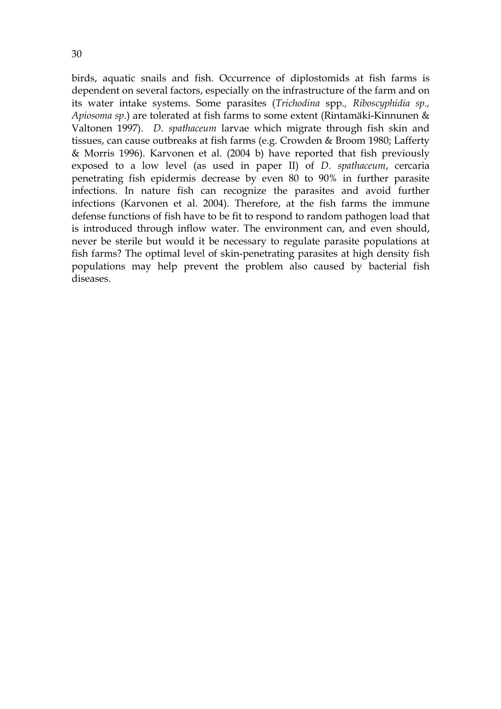birds, aquatic snails and fish. Occurrence of diplostomids at fish farms is dependent on several factors, especially on the infrastructure of the farm and on its water intake systems. Some parasites (*Trichodina* spp*., Riboscyphidia sp., Apiosoma sp.*) are tolerated at fish farms to some extent (Rintamäki-Kinnunen & Valtonen 1997). *D. spathaceum* larvae which migrate through fish skin and tissues, can cause outbreaks at fish farms (e.g. Crowden & Broom 1980; Lafferty & Morris 1996). Karvonen et al. (2004 b) have reported that fish previously exposed to a low level (as used in paper II) of *D. spathaceum*, cercaria penetrating fish epidermis decrease by even 80 to 90% in further parasite infections. In nature fish can recognize the parasites and avoid further infections (Karvonen et al. 2004). Therefore, at the fish farms the immune defense functions of fish have to be fit to respond to random pathogen load that is introduced through inflow water. The environment can, and even should, never be sterile but would it be necessary to regulate parasite populations at fish farms? The optimal level of skin-penetrating parasites at high density fish populations may help prevent the problem also caused by bacterial fish diseases.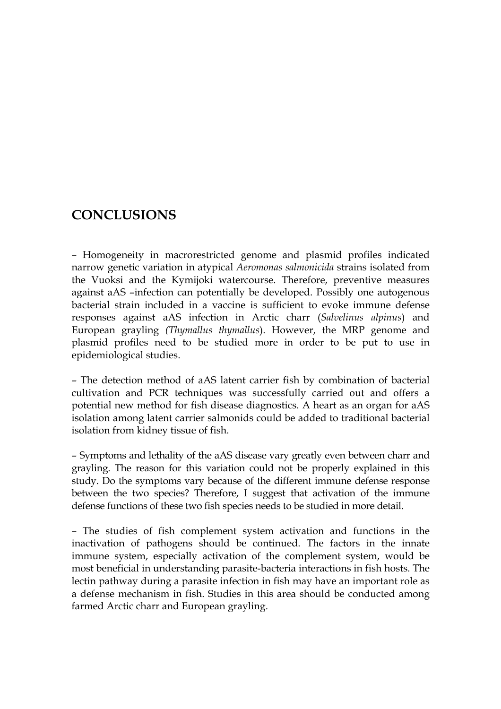# **CONCLUSIONS**

– Homogeneity in macrorestricted genome and plasmid profiles indicated narrow genetic variation in atypical *Aeromonas salmonicida* strains isolated from the Vuoksi and the Kymijoki watercourse. Therefore, preventive measures against aAS –infection can potentially be developed. Possibly one autogenous bacterial strain included in a vaccine is sufficient to evoke immune defense responses against aAS infection in Arctic charr (*Salvelinus alpinus*) and European grayling *(Thymallus thymallus*). However, the MRP genome and plasmid profiles need to be studied more in order to be put to use in epidemiological studies.

– The detection method of aAS latent carrier fish by combination of bacterial cultivation and PCR techniques was successfully carried out and offers a potential new method for fish disease diagnostics. A heart as an organ for aAS isolation among latent carrier salmonids could be added to traditional bacterial isolation from kidney tissue of fish.

– Symptoms and lethality of the aAS disease vary greatly even between charr and grayling. The reason for this variation could not be properly explained in this study. Do the symptoms vary because of the different immune defense response between the two species? Therefore, I suggest that activation of the immune defense functions of these two fish species needs to be studied in more detail.

– The studies of fish complement system activation and functions in the inactivation of pathogens should be continued. The factors in the innate immune system, especially activation of the complement system, would be most beneficial in understanding parasite-bacteria interactions in fish hosts. The lectin pathway during a parasite infection in fish may have an important role as a defense mechanism in fish. Studies in this area should be conducted among farmed Arctic charr and European grayling.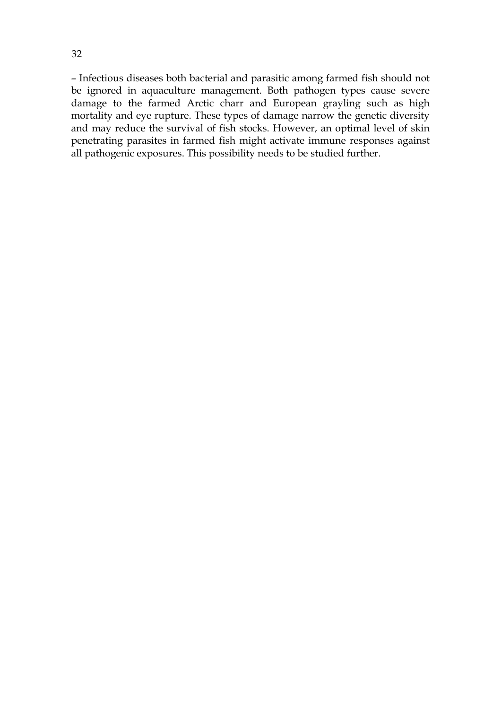– Infectious diseases both bacterial and parasitic among farmed fish should not be ignored in aquaculture management. Both pathogen types cause severe damage to the farmed Arctic charr and European grayling such as high mortality and eye rupture. These types of damage narrow the genetic diversity and may reduce the survival of fish stocks. However, an optimal level of skin penetrating parasites in farmed fish might activate immune responses against all pathogenic exposures. This possibility needs to be studied further.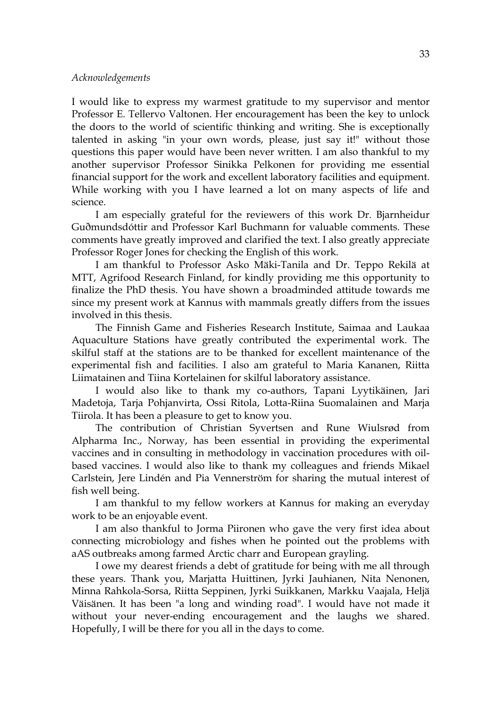#### *Acknowledgements*

I would like to express my warmest gratitude to my supervisor and mentor Professor E. Tellervo Valtonen. Her encouragement has been the key to unlock the doors to the world of scientific thinking and writing. She is exceptionally talented in asking "in your own words, please, just say it!" without those questions this paper would have been never written. I am also thankful to my another supervisor Professor Sinikka Pelkonen for providing me essential financial support for the work and excellent laboratory facilities and equipment. While working with you I have learned a lot on many aspects of life and science.

I am especially grateful for the reviewers of this work Dr. Bjarnheidur Guðmundsdóttir and Professor Karl Buchmann for valuable comments. These comments have greatly improved and clarified the text. I also greatly appreciate Professor Roger Jones for checking the English of this work.

I am thankful to Professor Asko Mäki-Tanila and Dr. Teppo Rekilä at MTT, Agrifood Research Finland, for kindly providing me this opportunity to finalize the PhD thesis. You have shown a broadminded attitude towards me since my present work at Kannus with mammals greatly differs from the issues involved in this thesis.

The Finnish Game and Fisheries Research Institute, Saimaa and Laukaa Aquaculture Stations have greatly contributed the experimental work. The skilful staff at the stations are to be thanked for excellent maintenance of the experimental fish and facilities. I also am grateful to Maria Kananen, Riitta Liimatainen and Tiina Kortelainen for skilful laboratory assistance.

I would also like to thank my co-authors, Tapani Lyytikäinen, Jari Madetoja, Tarja Pohjanvirta, Ossi Ritola, Lotta-Riina Suomalainen and Marja Tiirola. It has been a pleasure to get to know you.

The contribution of Christian Syvertsen and Rune Wiulsrød from Alpharma Inc., Norway, has been essential in providing the experimental vaccines and in consulting in methodology in vaccination procedures with oilbased vaccines. I would also like to thank my colleagues and friends Mikael Carlstein, Jere Lindén and Pia Vennerström for sharing the mutual interest of fish well being.

I am thankful to my fellow workers at Kannus for making an everyday work to be an enjoyable event.

I am also thankful to Jorma Piironen who gave the very first idea about connecting microbiology and fishes when he pointed out the problems with aAS outbreaks among farmed Arctic charr and European grayling.

I owe my dearest friends a debt of gratitude for being with me all through these years. Thank you, Marjatta Huittinen, Jyrki Jauhianen, Nita Nenonen, Minna Rahkola-Sorsa, Riitta Seppinen, Jyrki Suikkanen, Markku Vaajala, Heljä Väisänen. It has been "a long and winding road". I would have not made it without your never-ending encouragement and the laughs we shared. Hopefully, I will be there for you all in the days to come.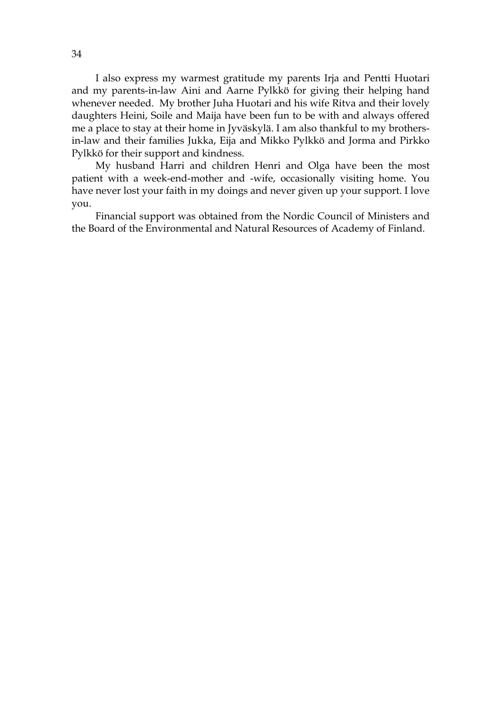I also express my warmest gratitude my parents Irja and Pentti Huotari and my parents-in-law Aini and Aarne Pylkkö for giving their helping hand whenever needed. My brother Juha Huotari and his wife Ritva and their lovely daughters Heini, Soile and Maija have been fun to be with and always offered me a place to stay at their home in Jyväskylä. I am also thankful to my brothersin-law and their families Jukka, Eija and Mikko Pylkkö and Jorma and Pirkko Pylkkö for their support and kindness.

My husband Harri and children Henri and Olga have been the most patient with a week-end-mother and -wife, occasionally visiting home. You have never lost your faith in my doings and never given up your support. I love you.

Financial support was obtained from the Nordic Council of Ministers and the Board of the Environmental and Natural Resources of Academy of Finland.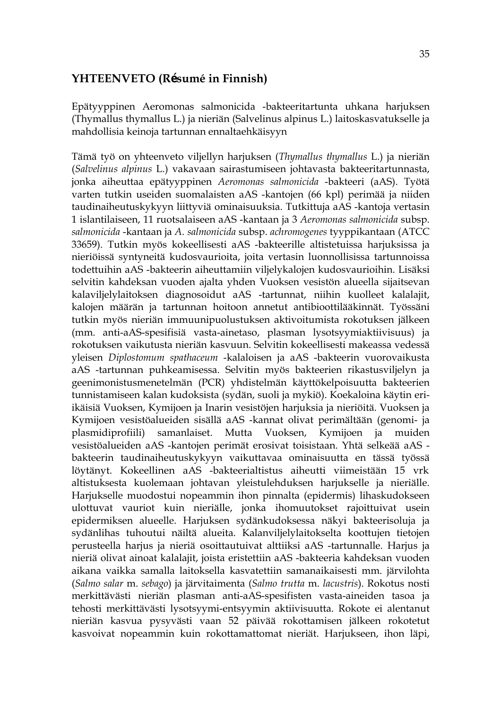#### **YHTEENVETO (Résumé in Finnish)**

Epätyyppinen Aeromonas salmonicida -bakteeritartunta uhkana harjuksen (Thymallus thymallus L.) ja nieriän (Salvelinus alpinus L.) laitoskasvatukselle ja mahdollisia keinoja tartunnan ennaltaehkäisyyn

Tämä työ on yhteenveto viljellyn harjuksen (*Thymallus thymallus* L.) ja nieriän (*Salvelinus alpinus* L.) vakavaan sairastumiseen johtavasta bakteeritartunnasta, jonka aiheuttaa epätyyppinen *Aeromonas salmonicida* -bakteeri (aAS). Työtä varten tutkin useiden suomalaisten aAS -kantojen (66 kpl) perimää ja niiden taudinaiheutuskykyyn liittyviä ominaisuuksia. Tutkittuja aAS -kantoja vertasin 1 islantilaiseen, 11 ruotsalaiseen aAS -kantaan ja 3 *Aeromonas salmonicida* subsp. *salmonicida* -kantaan ja *A. salmonicida* subsp. *achromogenes* tyyppikantaan (ATCC 33659). Tutkin myös kokeellisesti aAS -bakteerille altistetuissa harjuksissa ja nieriöissä syntyneitä kudosvaurioita, joita vertasin luonnollisissa tartunnoissa todettuihin aAS -bakteerin aiheuttamiin viljelykalojen kudosvaurioihin. Lisäksi selvitin kahdeksan vuoden ajalta yhden Vuoksen vesistön alueella sijaitsevan kalaviljelylaitoksen diagnosoidut aAS -tartunnat, niihin kuolleet kalalajit, kalojen määrän ja tartunnan hoitoon annetut antibioottilääkinnät. Työssäni tutkin myös nieriän immuunipuolustuksen aktivoitumista rokotuksen jälkeen (mm. anti-aAS-spesifisiä vasta-ainetaso, plasman lysotsyymiaktiivisuus) ja rokotuksen vaikutusta nieriän kasvuun. Selvitin kokeellisesti makeassa vedessä yleisen *Diplostomum spathaceum* -kalaloisen ja aAS -bakteerin vuorovaikusta aAS -tartunnan puhkeamisessa. Selvitin myös bakteerien rikastusviljelyn ja geenimonistusmenetelmän (PCR) yhdistelmän käyttökelpoisuutta bakteerien tunnistamiseen kalan kudoksista (sydän, suoli ja mykiö). Koekaloina käytin eriikäisiä Vuoksen, Kymijoen ja Inarin vesistöjen harjuksia ja nieriöitä. Vuoksen ja Kymijoen vesistöalueiden sisällä aAS -kannat olivat perimältään (genomi- ja plasmidiprofiili) samanlaiset. Mutta Vuoksen, Kymijoen ja muiden vesistöalueiden aAS -kantojen perimät erosivat toisistaan. Yhtä selkeää aAS bakteerin taudinaiheutuskykyyn vaikuttavaa ominaisuutta en tässä työssä löytänyt. Kokeellinen aAS -bakteerialtistus aiheutti viimeistään 15 vrk altistuksesta kuolemaan johtavan yleistulehduksen harjukselle ja nieriälle. Harjukselle muodostui nopeammin ihon pinnalta (epidermis) lihaskudokseen ulottuvat vauriot kuin nieriälle, jonka ihomuutokset rajoittuivat usein epidermiksen alueelle. Harjuksen sydänkudoksessa näkyi bakteerisoluja ja sydänlihas tuhoutui näiltä alueita. Kalanviljelylaitokselta koottujen tietojen perusteella harjus ja nieriä osoittautuivat alttiiksi aAS -tartunnalle. Harjus ja nieriä olivat ainoat kalalajit, joista eristettiin aAS -bakteeria kahdeksan vuoden aikana vaikka samalla laitoksella kasvatettiin samanaikaisesti mm. järvilohta (*Salmo salar* m. *sebago*) ja järvitaimenta (*Salmo trutta* m. *lacustris*). Rokotus nosti merkittävästi nieriän plasman anti-aAS-spesifisten vasta-aineiden tasoa ja tehosti merkittävästi lysotsyymi-entsyymin aktiivisuutta. Rokote ei alentanut nieriän kasvua pysyvästi vaan 52 päivää rokottamisen jälkeen rokotetut kasvoivat nopeammin kuin rokottamattomat nieriät. Harjukseen, ihon läpi,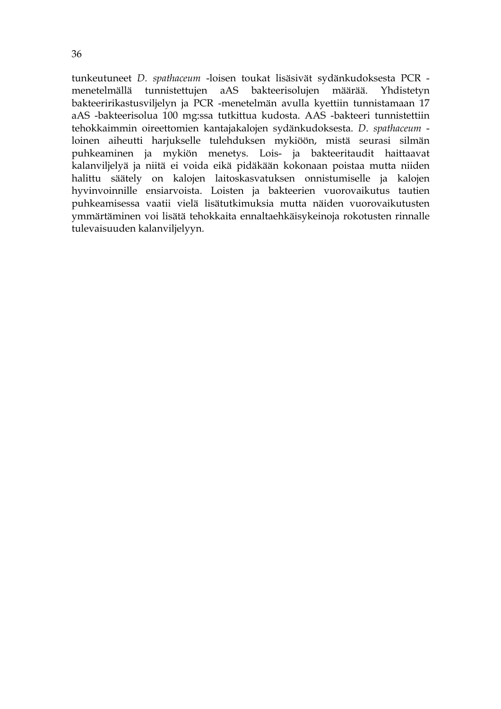tunkeutuneet *D. spathaceum* -loisen toukat lisäsivät sydänkudoksesta PCR menetelmällä tunnistettujen aAS bakteerisolujen määrää. Yhdistetyn bakteeririkastusviljelyn ja PCR -menetelmän avulla kyettiin tunnistamaan 17 aAS -bakteerisolua 100 mg:ssa tutkittua kudosta. AAS -bakteeri tunnistettiin tehokkaimmin oireettomien kantajakalojen sydänkudoksesta. *D. spathaceum* loinen aiheutti harjukselle tulehduksen mykiöön, mistä seurasi silmän puhkeaminen ja mykiön menetys. Lois- ja bakteeritaudit haittaavat kalanviljelyä ja niitä ei voida eikä pidäkään kokonaan poistaa mutta niiden halittu säätely on kalojen laitoskasvatuksen onnistumiselle ja kalojen hyvinvoinnille ensiarvoista. Loisten ja bakteerien vuorovaikutus tautien puhkeamisessa vaatii vielä lisätutkimuksia mutta näiden vuorovaikutusten ymmärtäminen voi lisätä tehokkaita ennaltaehkäisykeinoja rokotusten rinnalle tulevaisuuden kalanviljelyyn.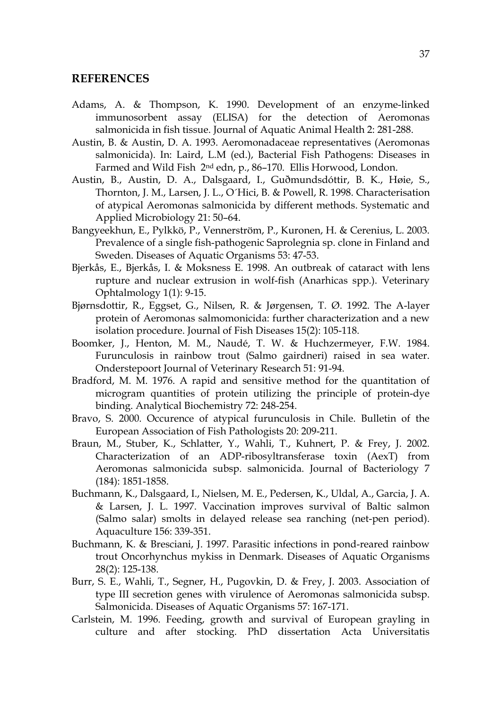#### **REFERENCES**

- Adams, A. & Thompson, K. 1990. Development of an enzyme-linked immunosorbent assay (ELISA) for the detection of Aeromonas salmonicida in fish tissue. Journal of Aquatic Animal Health 2: 281-288.
- Austin, B. & Austin, D. A. 1993. Aeromonadaceae representatives (Aeromonas salmonicida). In: Laird, L.M (ed.), Bacterial Fish Pathogens: Diseases in Farmed and Wild Fish 2nd edn, p., 86–170. Ellis Horwood, London.
- Austin, B., Austin, D. A., Dalsgaard, I., Guðmundsdóttir, B. K., Høie, S., Thornton, J. M., Larsen, J. L., O´Hici, B. & Powell, R. 1998. Characterisation of atypical Aeromonas salmonicida by different methods. Systematic and Applied Microbiology 21: 50–64.
- Bangyeekhun, E., Pylkkö, P., Vennerström, P., Kuronen, H. & Cerenius, L. 2003. Prevalence of a single fish-pathogenic Saprolegnia sp. clone in Finland and Sweden. Diseases of Aquatic Organisms 53: 47-53.
- Bjerkås, E., Bjerkås, I. & Moksness E. 1998. An outbreak of cataract with lens rupture and nuclear extrusion in wolf-fish (Anarhicas spp.). Veterinary Ophtalmology 1(1): 9-15.
- Bjørnsdottir, R., Eggset, G., Nilsen, R. & Jørgensen, T. Ø. 1992. The A-layer protein of Aeromonas salmomonicida: further characterization and a new isolation procedure. Journal of Fish Diseases 15(2): 105-118.
- Boomker, J., Henton, M. M., Naudé, T. W. & Huchzermeyer, F.W. 1984. Furunculosis in rainbow trout (Salmo gairdneri) raised in sea water. Onderstepoort Journal of Veterinary Research 51: 91-94.
- Bradford, M. M. 1976. A rapid and sensitive method for the quantitation of microgram quantities of protein utilizing the principle of protein-dye binding. Analytical Biochemistry 72: 248-254.
- Bravo, S. 2000. Occurence of atypical furunculosis in Chile. Bulletin of the European Association of Fish Pathologists 20: 209-211.
- Braun, M., Stuber, K., Schlatter, Y., Wahli, T., Kuhnert, P. & Frey, J. 2002. Characterization of an ADP-ribosyltransferase toxin (AexT) from Aeromonas salmonicida subsp. salmonicida. Journal of Bacteriology 7 (184): 1851-1858.
- Buchmann, K., Dalsgaard, I., Nielsen, M. E., Pedersen, K., Uldal, A., Garcia, J. A. & Larsen, J. L. 1997. Vaccination improves survival of Baltic salmon (Salmo salar) smolts in delayed release sea ranching (net-pen period). Aquaculture 156: 339-351.
- Buchmann, K. & Bresciani, J. 1997. Parasitic infections in pond-reared rainbow trout Oncorhynchus mykiss in Denmark. Diseases of Aquatic Organisms 28(2): 125-138.
- Burr, S. E., Wahli, T., Segner, H., Pugovkin, D. & Frey, J. 2003. Association of type III secretion genes with virulence of Aeromonas salmonicida subsp. Salmonicida. Diseases of Aquatic Organisms 57: 167-171.
- Carlstein, M. 1996. Feeding, growth and survival of European grayling in culture and after stocking. PhD dissertation Acta Universitatis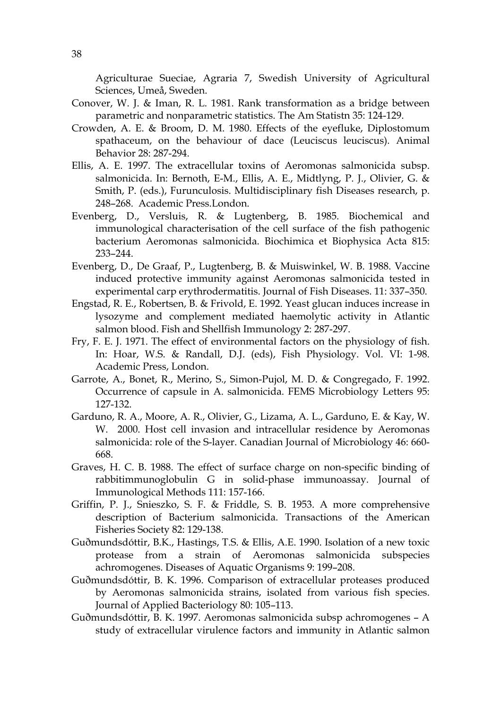Agriculturae Sueciae, Agraria 7, Swedish University of Agricultural Sciences, Umeå, Sweden.

- Conover, W. J. & Iman, R. L. 1981. Rank transformation as a bridge between parametric and nonparametric statistics. The Am Statistn 35: 124-129.
- Crowden, A. E. & Broom, D. M. 1980. Effects of the eyefluke, Diplostomum spathaceum, on the behaviour of dace (Leuciscus leuciscus). Animal Behavior 28: 287-294.
- Ellis, A. E. 1997. The extracellular toxins of Aeromonas salmonicida subsp. salmonicida. In: Bernoth, E-M., Ellis, A. E., Midtlyng, P. J., Olivier, G. & Smith, P. (eds.), Furunculosis. Multidisciplinary fish Diseases research, p. 248–268. Academic Press.London.
- Evenberg, D., Versluis, R. & Lugtenberg, B. 1985. Biochemical and immunological characterisation of the cell surface of the fish pathogenic bacterium Aeromonas salmonicida. Biochimica et Biophysica Acta 815: 233–244.
- Evenberg, D., De Graaf, P., Lugtenberg, B. & Muiswinkel, W. B. 1988. Vaccine induced protective immunity against Aeromonas salmonicida tested in experimental carp erythrodermatitis. Journal of Fish Diseases. 11: 337–350.
- Engstad, R. E., Robertsen, B. & Frivold, E. 1992. Yeast glucan induces increase in lysozyme and complement mediated haemolytic activity in Atlantic salmon blood. Fish and Shellfish Immunology 2: 287-297.
- Fry, F. E. J. 1971. The effect of environmental factors on the physiology of fish. In: Hoar, W.S. & Randall, D.J. (eds), Fish Physiology. Vol. VI: 1-98. Academic Press, London.
- Garrote, A., Bonet, R., Merino, S., Simon-Pujol, M. D. & Congregado, F. 1992. Occurrence of capsule in A. salmonicida. FEMS Microbiology Letters 95: 127-132.
- Garduno, R. A., Moore, A. R., Olivier, G., Lizama, A. L., Garduno, E. & Kay, W. W. 2000. Host cell invasion and intracellular residence by Aeromonas salmonicida: role of the S-layer. Canadian Journal of Microbiology 46: 660- 668.
- Graves, H. C. B. 1988. The effect of surface charge on non-specific binding of rabbitimmunoglobulin G in solid-phase immunoassay. Journal of Immunological Methods 111: 157-166.
- Griffin, P. J., Snieszko, S. F. & Friddle, S. B. 1953. A more comprehensive description of Bacterium salmonicida. Transactions of the American Fisheries Society 82: 129-138.
- Guðmundsdóttir, B.K., Hastings, T.S. & Ellis, A.E. 1990. Isolation of a new toxic protease from a strain of Aeromonas salmonicida subspecies achromogenes. Diseases of Aquatic Organisms 9: 199–208.
- Guðmundsdóttir, B. K. 1996. Comparison of extracellular proteases produced by Aeromonas salmonicida strains, isolated from various fish species. Journal of Applied Bacteriology 80: 105–113.
- Guðmundsdóttir, B. K. 1997. Aeromonas salmonicida subsp achromogenes A study of extracellular virulence factors and immunity in Atlantic salmon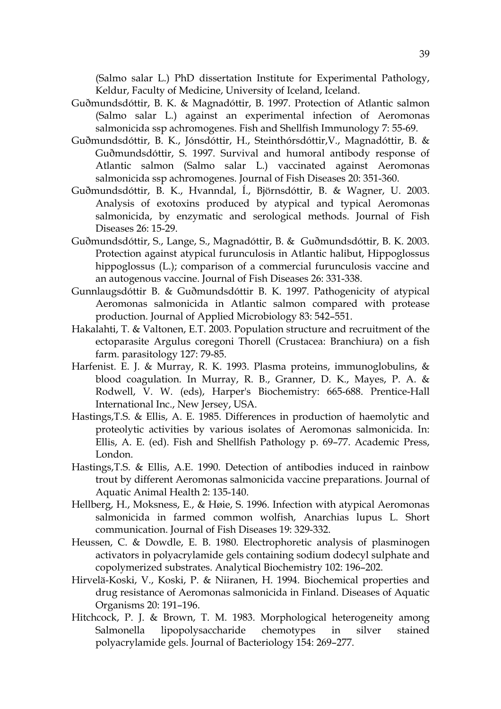(Salmo salar L.) PhD dissertation Institute for Experimental Pathology, Keldur, Faculty of Medicine, University of Iceland, Iceland.

- Guðmundsdóttir, B. K. & Magnadóttir, B. 1997. Protection of Atlantic salmon (Salmo salar L.) against an experimental infection of Aeromonas salmonicida ssp achromogenes. Fish and Shellfish Immunology 7: 55-69.
- Guðmundsdóttir, B. K., Jónsdóttir, H., Steinthórsdóttir,V., Magnadóttir, B. & Guðmundsdóttir, S. 1997. Survival and humoral antibody response of Atlantic salmon (Salmo salar L.) vaccinated against Aeromonas salmonicida ssp achromogenes. Journal of Fish Diseases 20: 351-360.
- Guðmundsdóttir, B. K., Hvanndal, Í., Björnsdóttir, B. & Wagner, U. 2003. Analysis of exotoxins produced by atypical and typical Aeromonas salmonicida, by enzymatic and serological methods. Journal of Fish Diseases 26: 15-29.
- Guðmundsdóttir, S., Lange, S., Magnadóttir, B. & Guðmundsdóttir, B. K. 2003. Protection against atypical furunculosis in Atlantic halibut, Hippoglossus hippoglossus (L.); comparison of a commercial furunculosis vaccine and an autogenous vaccine. Journal of Fish Diseases 26: 331-338.
- Gunnlaugsdóttir B. & Guðmundsdóttir B. K. 1997. Pathogenicity of atypical Aeromonas salmonicida in Atlantic salmon compared with protease production. Journal of Applied Microbiology 83: 542–551.
- Hakalahti, T. & Valtonen, E.T. 2003. Population structure and recruitment of the ectoparasite Argulus coregoni Thorell (Crustacea: Branchiura) on a fish farm. parasitology 127: 79-85.
- Harfenist. E. J. & Murray, R. K. 1993. Plasma proteins, immunoglobulins, & blood coagulation. In Murray, R. B., Granner, D. K., Mayes, P. A. & Rodwell, V. W. (eds), Harper's Biochemistry: 665-688. Prentice-Hall International Inc., New Jersey, USA.
- Hastings,T.S. & Ellis, A. E. 1985. Differences in production of haemolytic and proteolytic activities by various isolates of Aeromonas salmonicida. In: Ellis, A. E. (ed). Fish and Shellfish Pathology p. 69–77. Academic Press, London.
- Hastings,T.S. & Ellis, A.E. 1990. Detection of antibodies induced in rainbow trout by different Aeromonas salmonicida vaccine preparations. Journal of Aquatic Animal Health 2: 135-140.
- Hellberg, H., Moksness, E., & Høie, S. 1996. Infection with atypical Aeromonas salmonicida in farmed common wolfish, Anarchias lupus L. Short communication. Journal of Fish Diseases 19: 329-332.
- Heussen, C. & Dowdle, E. B. 1980. Electrophoretic analysis of plasminogen activators in polyacrylamide gels containing sodium dodecyl sulphate and copolymerized substrates. Analytical Biochemistry 102: 196–202.
- Hirvelä-Koski, V., Koski, P. & Niiranen, H. 1994. Biochemical properties and drug resistance of Aeromonas salmonicida in Finland. Diseases of Aquatic Organisms 20: 191–196.
- Hitchcock, P. J. & Brown, T. M. 1983. Morphological heterogeneity among Salmonella lipopolysaccharide chemotypes in silver stained polyacrylamide gels. Journal of Bacteriology 154: 269–277.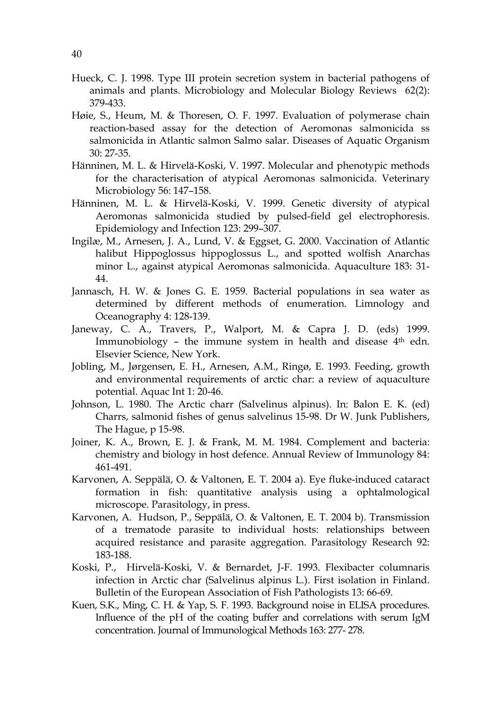- Hueck, C. J. 1998. Type III protein secretion system in bacterial pathogens of animals and plants. Microbiology and Molecular Biology Reviews 62(2): 379-433.
- Høie, S., Heum, M. & Thoresen, O. F. 1997. Evaluation of polymerase chain reaction-based assay for the detection of Aeromonas salmonicida ss salmonicida in Atlantic salmon Salmo salar. Diseases of Aquatic Organism 30: 27-35.
- Hänninen, M. L. & Hirvelä-Koski, V. 1997. Molecular and phenotypic methods for the characterisation of atypical Aeromonas salmonicida. Veterinary Microbiology 56: 147–158.
- Hänninen, M. L. & Hirvelä-Koski, V. 1999. Genetic diversity of atypical Aeromonas salmonicida studied by pulsed-field gel electrophoresis. Epidemiology and Infection 123: 299–307.
- Ingilæ, M., Arnesen, J. A., Lund, V. & Eggset, G. 2000. Vaccination of Atlantic halibut Hippoglossus hippoglossus L., and spotted wolfish Anarchas minor L., against atypical Aeromonas salmonicida. Aquaculture 183: 31- 44.
- Jannasch, H. W. & Jones G. E. 1959. Bacterial populations in sea water as determined by different methods of enumeration. Limnology and Oceanography 4: 128-139.
- Janeway, C. A., Travers, P., Walport, M. & Capra J. D. (eds) 1999. Immunobiology – the immune system in health and disease  $4<sup>th</sup>$  edn. Elsevier Science, New York.
- Jobling, M., Jørgensen, E. H., Arnesen, A.M., Ringø, E. 1993. Feeding, growth and environmental requirements of arctic char: a review of aquaculture potential. Aquac Int 1: 20-46.
- Johnson, L. 1980. The Arctic charr (Salvelinus alpinus). In: Balon E. K. (ed) Charrs, salmonid fishes of genus salvelinus 15-98. Dr W. Junk Publishers, The Hague, p 15-98.
- Joiner, K. A., Brown, E. J. & Frank, M. M. 1984. Complement and bacteria: chemistry and biology in host defence. Annual Review of Immunology 84: 461-491.
- Karvonen, A. Seppälä, O. & Valtonen, E. T. 2004 a). Eye fluke-induced cataract formation in fish: quantitative analysis using a ophtalmological microscope. Parasitology, in press.
- Karvonen, A. Hudson, P., Seppälä, O. & Valtonen, E. T. 2004 b). Transmission of a trematode parasite to individual hosts: relationships between acquired resistance and parasite aggregation. Parasitology Research 92: 183-188.
- Koski, P., Hirvelä-Koski, V. & Bernardet, J-F. 1993. Flexibacter columnaris infection in Arctic char (Salvelinus alpinus L.). First isolation in Finland. Bulletin of the European Association of Fish Pathologists 13: 66-69.
- Kuen, S.K., Ming, C. H. & Yap, S. F. 1993. Background noise in ELISA procedures. Influence of the pH of the coating buffer and correlations with serum IgM concentration. Journal of Immunological Methods 163: 277- 278.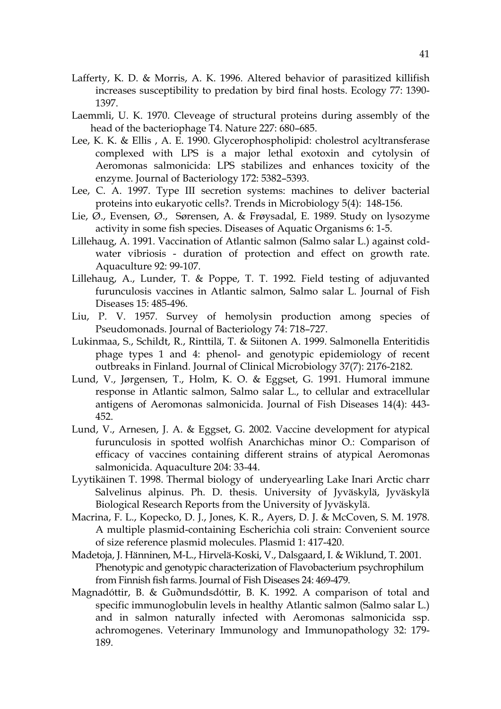- Lafferty, K. D. & Morris, A. K. 1996. Altered behavior of parasitized killifish increases susceptibility to predation by bird final hosts. Ecology 77: 1390- 1397.
- Laemmli, U. K. 1970. Cleveage of structural proteins during assembly of the head of the bacteriophage T4. Nature 227: 680–685.
- Lee, K. K. & Ellis , A. E. 1990. Glycerophospholipid: cholestrol acyltransferase complexed with LPS is a major lethal exotoxin and cytolysin of Aeromonas salmonicida: LPS stabilizes and enhances toxicity of the enzyme. Journal of Bacteriology 172: 5382–5393.
- Lee, C. A. 1997. Type III secretion systems: machines to deliver bacterial proteins into eukaryotic cells?. Trends in Microbiology 5(4): 148-156.
- Lie, Ø., Evensen, Ø., Sørensen, A. & Frøysadal, E. 1989. Study on lysozyme activity in some fish species. Diseases of Aquatic Organisms 6: 1-5.
- Lillehaug, A. 1991. Vaccination of Atlantic salmon (Salmo salar L.) against coldwater vibriosis - duration of protection and effect on growth rate. Aquaculture 92: 99-107.
- Lillehaug, A., Lunder, T. & Poppe, T. T. 1992. Field testing of adjuvanted furunculosis vaccines in Atlantic salmon, Salmo salar L. Journal of Fish Diseases 15: 485-496.
- Liu, P. V. 1957. Survey of hemolysin production among species of Pseudomonads. Journal of Bacteriology 74: 718–727.
- Lukinmaa, S., Schildt, R., Rinttilä, T. & Siitonen A. 1999. Salmonella Enteritidis phage types 1 and 4: phenol- and genotypic epidemiology of recent outbreaks in Finland. Journal of Clinical Microbiology 37(7): 2176-2182.
- Lund, V., Jørgensen, T., Holm, K. O. & Eggset, G. 1991. Humoral immune response in Atlantic salmon, Salmo salar L., to cellular and extracellular antigens of Aeromonas salmonicida. Journal of Fish Diseases 14(4): 443- 452.
- Lund, V., Arnesen, J. A. & Eggset, G. 2002. Vaccine development for atypical furunculosis in spotted wolfish Anarchichas minor O.: Comparison of efficacy of vaccines containing different strains of atypical Aeromonas salmonicida. Aquaculture 204: 33-44.
- Lyytikäinen T. 1998. Thermal biology of underyearling Lake Inari Arctic charr Salvelinus alpinus. Ph. D. thesis. University of Jyväskylä, Jyväskylä Biological Research Reports from the University of Jyväskylä.
- Macrina, F. L., Kopecko, D. J., Jones, K. R., Ayers, D. J. & McCoven, S. M. 1978. A multiple plasmid-containing Escherichia coli strain: Convenient source of size reference plasmid molecules. Plasmid 1: 417-420.
- Madetoja, J. Hänninen, M-L., Hirvelä-Koski, V., Dalsgaard, I. & Wiklund, T. 2001. Phenotypic and genotypic characterization of Flavobacterium psychrophilum from Finnish fish farms. Journal of Fish Diseases 24: 469-479.
- Magnadóttir, B. & Guðmundsdóttir, B. K. 1992. A comparison of total and specific immunoglobulin levels in healthy Atlantic salmon (Salmo salar L.) and in salmon naturally infected with Aeromonas salmonicida ssp. achromogenes. Veterinary Immunology and Immunopathology 32: 179- 189.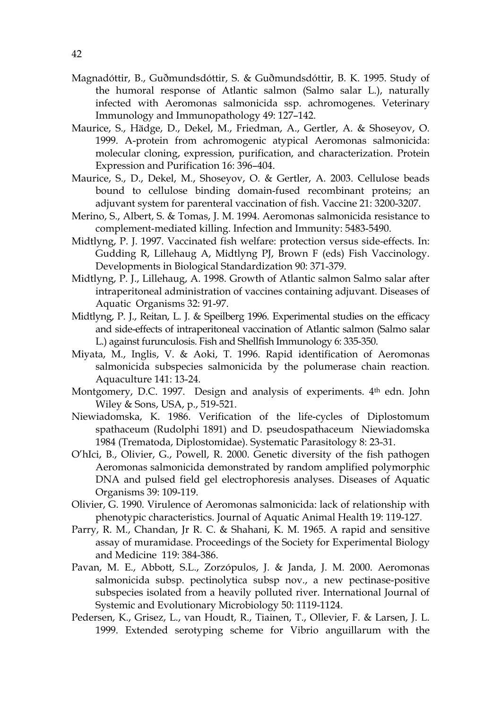- Magnadóttir, B., Guðmundsdóttir, S. & Guðmundsdóttir, B. K. 1995. Study of the humoral response of Atlantic salmon (Salmo salar L.), naturally infected with Aeromonas salmonicida ssp. achromogenes. Veterinary Immunology and Immunopathology 49: 127–142.
- Maurice, S., Hädge, D., Dekel, M., Friedman, A., Gertler, A. & Shoseyov, O. 1999. A-protein from achromogenic atypical Aeromonas salmonicida: molecular cloning, expression, purification, and characterization. Protein Expression and Purification 16: 396–404.
- Maurice, S., D., Dekel, M., Shoseyov, O. & Gertler, A. 2003. Cellulose beads bound to cellulose binding domain-fused recombinant proteins; an adjuvant system for parenteral vaccination of fish. Vaccine 21: 3200-3207.
- Merino, S., Albert, S. & Tomas, J. M. 1994. Aeromonas salmonicida resistance to complement-mediated killing. Infection and Immunity: 5483-5490.
- Midtlyng, P. J. 1997. Vaccinated fish welfare: protection versus side-effects. In: Gudding R, Lillehaug A, Midtlyng PJ, Brown F (eds) Fish Vaccinology. Developments in Biological Standardization 90: 371-379.
- Midtlyng, P. J., Lillehaug, A. 1998. Growth of Atlantic salmon Salmo salar after intraperitoneal administration of vaccines containing adjuvant. Diseases of Aquatic Organisms 32: 91-97.
- Midtlyng, P. J., Reitan, L. J. & Speilberg 1996. Experimental studies on the efficacy and side-effects of intraperitoneal vaccination of Atlantic salmon (Salmo salar L.) against furunculosis. Fish and Shellfish Immunology 6: 335-350.
- Miyata, M., Inglis, V. & Aoki, T. 1996. Rapid identification of Aeromonas salmonicida subspecies salmonicida by the polumerase chain reaction. Aquaculture 141: 13-24.
- Montgomery, D.C. 1997. Design and analysis of experiments. 4th edn. John Wiley & Sons, USA, p., 519-521.
- Niewiadomska, K. 1986. Verification of the life-cycles of Diplostomum spathaceum (Rudolphi 1891) and D. pseudospathaceum Niewiadomska 1984 (Trematoda, Diplostomidae). Systematic Parasitology 8: 23-31.
- O'hIci, B., Olivier, G., Powell, R. 2000. Genetic diversity of the fish pathogen Aeromonas salmonicida demonstrated by random amplified polymorphic DNA and pulsed field gel electrophoresis analyses. Diseases of Aquatic Organisms 39: 109-119.
- Olivier, G. 1990. Virulence of Aeromonas salmonicida: lack of relationship with phenotypic characteristics. Journal of Aquatic Animal Health 19: 119-127.
- Parry, R. M., Chandan, Jr R. C. & Shahani, K. M. 1965. A rapid and sensitive assay of muramidase. Proceedings of the Society for Experimental Biology and Medicine 119: 384-386.
- Pavan, M. E., Abbott, S.L., Zorzópulos, J. & Janda, J. M. 2000. Aeromonas salmonicida subsp. pectinolytica subsp nov., a new pectinase-positive subspecies isolated from a heavily polluted river. International Journal of Systemic and Evolutionary Microbiology 50: 1119-1124.
- Pedersen, K., Grisez, L., van Houdt, R., Tiainen, T., Ollevier, F. & Larsen, J. L. 1999. Extended serotyping scheme for Vibrio anguillarum with the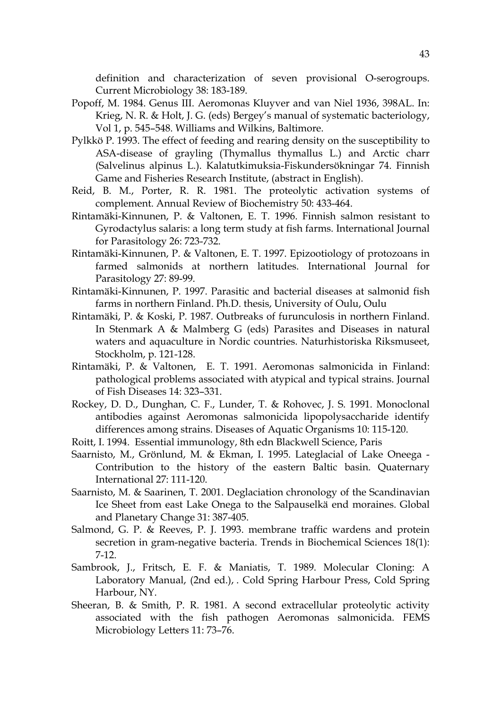definition and characterization of seven provisional O-serogroups. Current Microbiology 38: 183-189.

- Popoff, M. 1984. Genus III. Aeromonas Kluyver and van Niel 1936, 398AL. In: Krieg, N. R. & Holt, J. G. (eds) Bergey's manual of systematic bacteriology, Vol 1, p. 545–548. Williams and Wilkins, Baltimore.
- Pylkkö P. 1993. The effect of feeding and rearing density on the susceptibility to ASA-disease of grayling (Thymallus thymallus L.) and Arctic charr (Salvelinus alpinus L.). Kalatutkimuksia-Fiskundersökningar 74. Finnish Game and Fisheries Research Institute, (abstract in English).
- Reid, B. M., Porter, R. R. 1981. The proteolytic activation systems of complement. Annual Review of Biochemistry 50: 433-464.
- Rintamäki-Kinnunen, P. & Valtonen, E. T. 1996. Finnish salmon resistant to Gyrodactylus salaris: a long term study at fish farms. International Journal for Parasitology 26: 723-732.
- Rintamäki-Kinnunen, P. & Valtonen, E. T. 1997. Epizootiology of protozoans in farmed salmonids at northern latitudes. International Journal for Parasitology 27: 89-99.
- Rintamäki-Kinnunen, P. 1997. Parasitic and bacterial diseases at salmonid fish farms in northern Finland. Ph.D. thesis, University of Oulu, Oulu
- Rintamäki, P. & Koski, P. 1987. Outbreaks of furunculosis in northern Finland. In Stenmark A & Malmberg G (eds) Parasites and Diseases in natural waters and aquaculture in Nordic countries. Naturhistoriska Riksmuseet, Stockholm, p. 121-128.
- Rintamäki, P. & Valtonen, E. T. 1991. Aeromonas salmonicida in Finland: pathological problems associated with atypical and typical strains. Journal of Fish Diseases 14: 323–331.
- Rockey, D. D., Dunghan, C. F., Lunder, T. & Rohovec, J. S. 1991. Monoclonal antibodies against Aeromonas salmonicida lipopolysaccharide identify differences among strains. Diseases of Aquatic Organisms 10: 115-120.
- Roitt, I. 1994. Essential immunology, 8th edn Blackwell Science, Paris
- Saarnisto, M., Grönlund, M. & Ekman, I. 1995. Lateglacial of Lake Oneega Contribution to the history of the eastern Baltic basin. Quaternary International 27: 111-120.
- Saarnisto, M. & Saarinen, T. 2001. Deglaciation chronology of the Scandinavian Ice Sheet from east Lake Onega to the Salpauselkä end moraines. Global and Planetary Change 31: 387-405.
- Salmond, G. P. & Reeves, P. J. 1993. membrane traffic wardens and protein secretion in gram-negative bacteria. Trends in Biochemical Sciences 18(1): 7-12.
- Sambrook, J., Fritsch, E. F. & Maniatis, T. 1989. Molecular Cloning: A Laboratory Manual, (2nd ed.), . Cold Spring Harbour Press, Cold Spring Harbour, NY.
- Sheeran, B. & Smith, P. R. 1981. A second extracellular proteolytic activity associated with the fish pathogen Aeromonas salmonicida. FEMS Microbiology Letters 11: 73–76.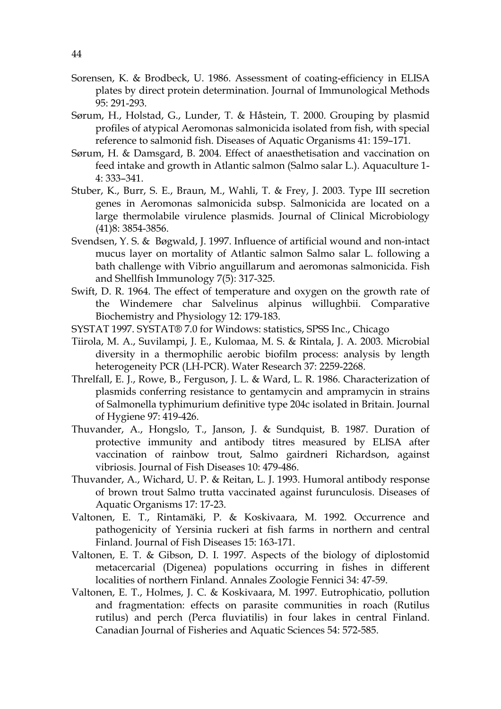- Sorensen, K. & Brodbeck, U. 1986. Assessment of coating-efficiency in ELISA plates by direct protein determination. Journal of Immunological Methods 95: 291-293.
- Sørum, H., Holstad, G., Lunder, T. & Håstein, T. 2000. Grouping by plasmid profiles of atypical Aeromonas salmonicida isolated from fish, with special reference to salmonid fish. Diseases of Aquatic Organisms 41: 159–171.
- Sørum, H. & Damsgard, B. 2004. Effect of anaesthetisation and vaccination on feed intake and growth in Atlantic salmon (Salmo salar L.). Aquaculture 1- 4: 333–341.
- Stuber, K., Burr, S. E., Braun, M., Wahli, T. & Frey, J. 2003. Type III secretion genes in Aeromonas salmonicida subsp. Salmonicida are located on a large thermolabile virulence plasmids. Journal of Clinical Microbiology (41)8: 3854-3856.
- Svendsen, Y. S. & Bøgwald, J. 1997. Influence of artificial wound and non-intact mucus layer on mortality of Atlantic salmon Salmo salar L. following a bath challenge with Vibrio anguillarum and aeromonas salmonicida. Fish and Shellfish Immunology 7(5): 317-325.
- Swift, D. R. 1964. The effect of temperature and oxygen on the growth rate of the Windemere char Salvelinus alpinus willughbii. Comparative Biochemistry and Physiology 12: 179-183.
- SYSTAT 1997. SYSTAT® 7.0 for Windows: statistics, SPSS Inc., Chicago
- Tiirola, M. A., Suvilampi, J. E., Kulomaa, M. S. & Rintala, J. A. 2003. Microbial diversity in a thermophilic aerobic biofilm process: analysis by length heterogeneity PCR (LH-PCR). Water Research 37: 2259-2268.
- Threlfall, E. J., Rowe, B., Ferguson, J. L. & Ward, L. R. 1986. Characterization of plasmids conferring resistance to gentamycin and ampramycin in strains of Salmonella typhimurium definitive type 204c isolated in Britain. Journal of Hygiene 97: 419-426.
- Thuvander, A., Hongslo, T., Janson, J. & Sundquist, B. 1987. Duration of protective immunity and antibody titres measured by ELISA after vaccination of rainbow trout, Salmo gairdneri Richardson, against vibriosis. Journal of Fish Diseases 10: 479-486.
- Thuvander, A., Wichard, U. P. & Reitan, L. J. 1993. Humoral antibody response of brown trout Salmo trutta vaccinated against furunculosis. Diseases of Aquatic Organisms 17: 17-23.
- Valtonen, E. T., Rintamäki, P. & Koskivaara, M. 1992. Occurrence and pathogenicity of Yersinia ruckeri at fish farms in northern and central Finland. Journal of Fish Diseases 15: 163-171.
- Valtonen, E. T. & Gibson, D. I. 1997. Aspects of the biology of diplostomid metacercarial (Digenea) populations occurring in fishes in different localities of northern Finland. Annales Zoologie Fennici 34: 47-59.
- Valtonen, E. T., Holmes, J. C. & Koskivaara, M. 1997. Eutrophicatio, pollution and fragmentation: effects on parasite communities in roach (Rutilus rutilus) and perch (Perca fluviatilis) in four lakes in central Finland. Canadian Journal of Fisheries and Aquatic Sciences 54: 572-585.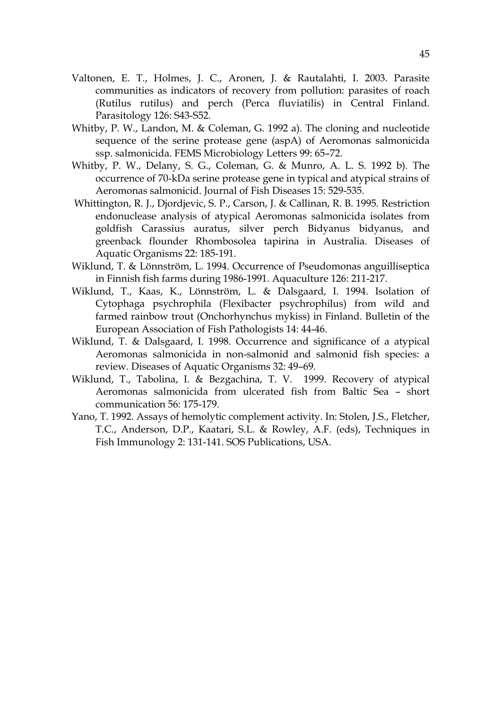- Valtonen, E. T., Holmes, J. C., Aronen, J. & Rautalahti, I. 2003. Parasite communities as indicators of recovery from pollution: parasites of roach (Rutilus rutilus) and perch (Perca fluviatilis) in Central Finland. Parasitology 126: S43-S52.
- Whitby, P. W., Landon, M. & Coleman, G. 1992 a). The cloning and nucleotide sequence of the serine protease gene (aspA) of Aeromonas salmonicida ssp. salmonicida. FEMS Microbiology Letters 99: 65–72.
- Whitby, P. W., Delany, S. G., Coleman, G. & Munro, A. L. S. 1992 b). The occurrence of 70-kDa serine protease gene in typical and atypical strains of Aeromonas salmonicid. Journal of Fish Diseases 15: 529-535.
- Whittington, R. J., Djordjevic, S. P., Carson, J. & Callinan, R. B. 1995. Restriction endonuclease analysis of atypical Aeromonas salmonicida isolates from goldfish Carassius auratus, silver perch Bidyanus bidyanus, and greenback flounder Rhombosolea tapirina in Australia. Diseases of Aquatic Organisms 22: 185-191.
- Wiklund, T. & Lönnström, L. 1994. Occurrence of Pseudomonas anguilliseptica in Finnish fish farms during 1986-1991. Aquaculture 126: 211-217.
- Wiklund, T., Kaas, K., Lönnström, L. & Dalsgaard, I. 1994. Isolation of Cytophaga psychrophila (Flexibacter psychrophilus) from wild and farmed rainbow trout (Onchorhynchus mykiss) in Finland. Bulletin of the European Association of Fish Pathologists 14: 44-46.
- Wiklund, T. & Dalsgaard, I. 1998. Occurrence and significance of a atypical Aeromonas salmonicida in non-salmonid and salmonid fish species: a review. Diseases of Aquatic Organisms 32: 49–69.
- Wiklund, T., Tabolina, I. & Bezgachina, T. V. 1999. Recovery of atypical Aeromonas salmonicida from ulcerated fish from Baltic Sea – short communication 56: 175-179.
- Yano, T. 1992. Assays of hemolytic complement activity. In: Stolen, J.S., Fletcher, T.C., Anderson, D.P., Kaatari, S.L. & Rowley, A.F. (eds), Techniques in Fish Immunology 2: 131-141. SOS Publications, USA.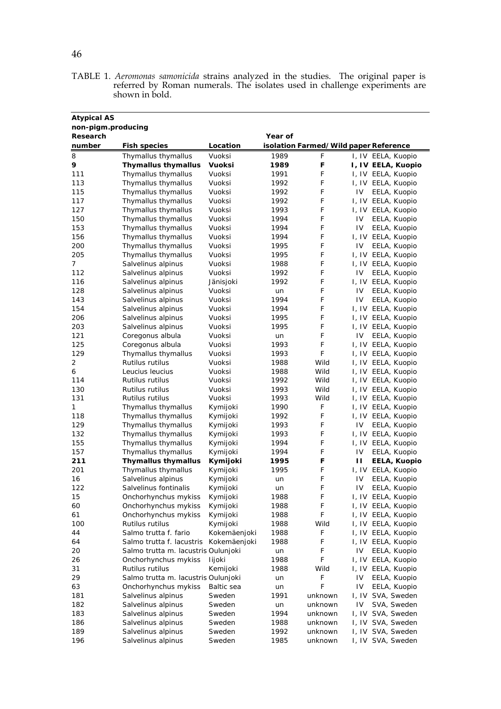| TABLE 1. Aeromonas samonicida strains analyzed in the studies. The original paper is |  |  |  |  |  |
|--------------------------------------------------------------------------------------|--|--|--|--|--|
| referred by Roman numerals. The isolates used in challenge experiments are           |  |  |  |  |  |
| shown in bold.                                                                       |  |  |  |  |  |

| <b>Atypical AS</b>                        |                                         |                          |              |                                       |    |                                          |  |
|-------------------------------------------|-----------------------------------------|--------------------------|--------------|---------------------------------------|----|------------------------------------------|--|
| non-pigm.producing<br>Research<br>Year of |                                         |                          |              |                                       |    |                                          |  |
| number                                    | <b>Fish species</b>                     | Location                 |              | isolation Farmed/Wild paper Reference |    |                                          |  |
| 8                                         | Thymallus thymallus                     | Vuoksi                   | 1989         | F                                     |    | I, IV EELA, Kuopio                       |  |
| 9                                         | <b>Thymallus thymallus</b>              | Vuoksi                   | 1989         | F                                     |    | I, IV EELA, Kuopio                       |  |
| 111                                       | Thymallus thymallus                     | Vuoksi                   | 1991         | F                                     |    | I, IV EELA, Kuopio                       |  |
| 113                                       | Thymallus thymallus                     | Vuoksi                   | 1992         | F                                     |    | I, IV EELA, Kuopio                       |  |
| 115                                       | Thymallus thymallus                     | Vuoksi                   | 1992         | F                                     | IV | EELA, Kuopio                             |  |
| 117                                       | Thymallus thymallus                     | Vuoksi                   | 1992         | F                                     |    | I, IV EELA, Kuopio                       |  |
| 127                                       | Thymallus thymallus                     | Vuoksi                   | 1993         | F                                     |    | I, IV EELA, Kuopio                       |  |
| 150                                       | Thymallus thymallus                     | Vuoksi                   | 1994         | F                                     | IV | EELA, Kuopio                             |  |
| 153                                       | Thymallus thymallus                     | Vuoksi                   | 1994         | F                                     | IV | EELA, Kuopio                             |  |
| 156                                       | Thymallus thymallus                     | Vuoksi                   | 1994         | F                                     |    | I, IV EELA, Kuopio                       |  |
| 200                                       | Thymallus thymallus                     | Vuoksi                   | 1995         | F                                     | IV | EELA, Kuopio                             |  |
| 205                                       | Thymallus thymallus                     | Vuoksi                   | 1995         | F                                     |    | I, IV EELA, Kuopio                       |  |
| 7                                         | Salvelinus alpinus                      | Vuoksi                   | 1988         | F                                     |    | I, IV EELA, Kuopio                       |  |
| 112                                       | Salvelinus alpinus                      | Vuoksi                   | 1992         | F                                     | IV | EELA, Kuopio                             |  |
| 116                                       | Salvelinus alpinus                      | Jänisjoki                | 1992         | F                                     |    | I, IV EELA, Kuopio                       |  |
| 128                                       | Salvelinus alpinus                      | Vuoksi                   | un           | F                                     | IV | EELA, Kuopio                             |  |
| 143                                       | Salvelinus alpinus                      | Vuoksi                   | 1994         | F                                     | IV | EELA, Kuopio                             |  |
| 154                                       | Salvelinus alpinus                      | Vuoksi                   | 1994         | F                                     |    | I, IV EELA, Kuopio                       |  |
| 206                                       | Salvelinus alpinus                      | Vuoksi                   | 1995         | F                                     |    | I, IV EELA, Kuopio                       |  |
| 203                                       | Salvelinus alpinus                      | Vuoksi                   | 1995         | F                                     |    | I, IV EELA, Kuopio                       |  |
| 121                                       | Coregonus albula                        | Vuoksi                   | un           | F                                     | IV | EELA, Kuopio                             |  |
| 125                                       | Coregonus albula                        | Vuoksi                   | 1993         | F                                     |    | I, IV EELA, Kuopio                       |  |
| 129                                       | Thymallus thymallus                     | Vuoksi                   | 1993         | F                                     |    | I, IV EELA, Kuopio                       |  |
| 2                                         | Rutilus rutilus                         | Vuoksi                   | 1988         | Wild                                  |    | I, IV EELA, Kuopio                       |  |
| 6                                         | Leucius leucius                         | Vuoksi                   | 1988         | Wild                                  |    | I, IV EELA, Kuopio                       |  |
| 114                                       | Rutilus rutilus                         | Vuoksi                   | 1992         | Wild                                  |    | I, IV EELA, Kuopio                       |  |
| 130                                       | Rutilus rutilus                         | Vuoksi                   | 1993         | Wild                                  |    | I, IV EELA, Kuopio                       |  |
| 131                                       | Rutilus rutilus                         | Vuoksi                   | 1993         | Wild                                  |    | I, IV EELA, Kuopio                       |  |
| 1                                         | Thymallus thymallus                     | Kymijoki                 | 1990         | F                                     |    | I, IV EELA, Kuopio                       |  |
| 118                                       | Thymallus thymallus                     | Kymijoki                 | 1992         | F                                     |    | I, IV EELA, Kuopio                       |  |
| 129                                       | Thymallus thymallus                     | Kymijoki                 | 1993         | F                                     | IV | EELA, Kuopio                             |  |
| 132                                       | Thymallus thymallus                     | Kymijoki                 | 1993         | F                                     |    | I, IV EELA, Kuopio                       |  |
| 155                                       | Thymallus thymallus                     | Kymijoki                 | 1994         | F                                     |    | I, IV EELA, Kuopio                       |  |
| 157                                       | Thymallus thymallus                     | Kymijoki                 | 1994         | F                                     | IV | EELA, Kuopio                             |  |
| 211                                       | <b>Thymallus thymallus</b>              | Kymijoki                 | 1995         | F                                     | п  | <b>EELA, Kuopio</b>                      |  |
| 201                                       | Thymallus thymallus                     | Kymijoki                 | 1995         | F                                     |    | I, IV EELA, Kuopio                       |  |
| 16                                        | Salvelinus alpinus                      | Kymijoki                 | un           | F                                     | IV | EELA, Kuopio                             |  |
| 122                                       | Salvelinus fontinalis                   | Kymijoki                 | un           | F                                     | IV | EELA, Kuopio                             |  |
| 15                                        | Onchorhynchus mykiss                    | Kymijoki                 | 1988         | F                                     |    | I, IV EELA, Kuopio                       |  |
| 60                                        | Onchorhynchus mykiss                    | Kymijoki                 | 1988         | F                                     |    | I, IV EELA, Kuopio                       |  |
| 61                                        | Onchorhynchus mykiss<br>Rutilus rutilus | Kymijoki                 | 1988         | F<br>Wild                             |    | I, IV EELA, Kuopio                       |  |
| 100<br>44                                 | Salmo trutta f. fario                   | Kymijoki<br>Kokemäenjoki | 1988<br>1988 | F                                     |    | I, IV EELA, Kuopio<br>I, IV EELA, Kuopio |  |
| 64                                        | Salmo trutta f. lacustris               | Kokemäenjoki             | 1988         | F                                     |    | I, IV EELA, Kuopio                       |  |
| 20                                        | Salmo trutta m. lacustris Oulunjoki     |                          |              | F                                     | IV | EELA, Kuopio                             |  |
| 26                                        | Onchorhynchus mykiss                    | lijoki                   | un<br>1988   | F                                     |    | I, IV EELA, Kuopio                       |  |
| 31                                        | Rutilus rutilus                         | Kemijoki                 | 1988         | Wild                                  |    | I, IV EELA, Kuopio                       |  |
| 29                                        | Salmo trutta m. lacustris Oulunjoki     |                          | un           | F                                     | 1V | EELA, Kuopio                             |  |
| 63                                        | Onchorhynchus mykiss                    | Baltic sea               | un           | F                                     | IV | EELA, Kuopio                             |  |
| 181                                       | Salvelinus alpinus                      | Sweden                   | 1991         | unknown                               |    | I, IV SVA, Sweden                        |  |
| 182                                       | Salvelinus alpinus                      | Sweden                   | un           | unknown                               | IV | SVA, Sweden                              |  |
| 183                                       | Salvelinus alpinus                      | Sweden                   | 1994         | unknown                               |    | I, IV SVA, Sweden                        |  |
| 186                                       | Salvelinus alpinus                      | Sweden                   | 1988         | unknown                               |    | I, IV SVA, Sweden                        |  |
| 189                                       | Salvelinus alpinus                      | Sweden                   | 1992         | unknown                               |    | I, IV SVA, Sweden                        |  |
| 196                                       | Salvelinus alpinus                      | Sweden                   | 1985         | unknown                               |    | I, IV SVA, Sweden                        |  |
|                                           |                                         |                          |              |                                       |    |                                          |  |